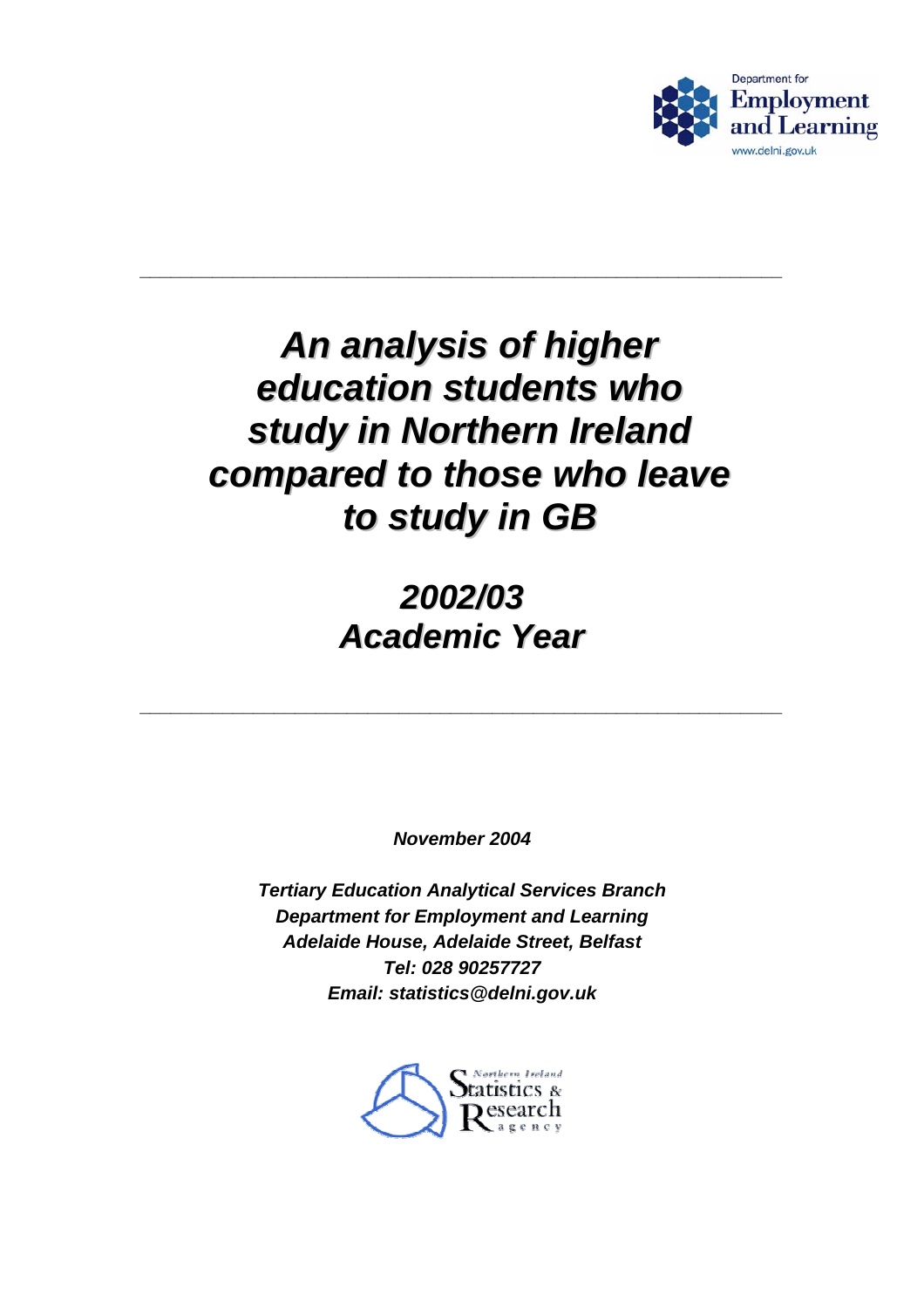

# *An analysis of higher education students who study in Northern Ireland compared to those who leave to study in GB*

**\_\_\_\_\_\_\_\_\_\_\_\_\_\_\_\_\_\_\_\_\_\_\_\_\_\_\_\_\_\_\_\_\_\_\_\_\_\_\_\_\_\_\_\_\_\_\_\_\_\_\_\_\_\_\_\_\_\_\_\_\_\_** 

# *2002/03 Academic Year*

**\_\_\_\_\_\_\_\_\_\_\_\_\_\_\_\_\_\_\_\_\_\_\_\_\_\_\_\_\_\_\_\_\_\_\_\_\_\_\_\_\_\_\_\_\_\_\_\_\_\_\_\_\_\_\_\_\_\_\_\_\_\_** 

*November 2004* 

*Tertiary Education Analytical Services Branch Department for Employment and Learning Adelaide House, Adelaide Street, Belfast Tel: 028 90257727 Email: statistics@delni.gov.uk* 

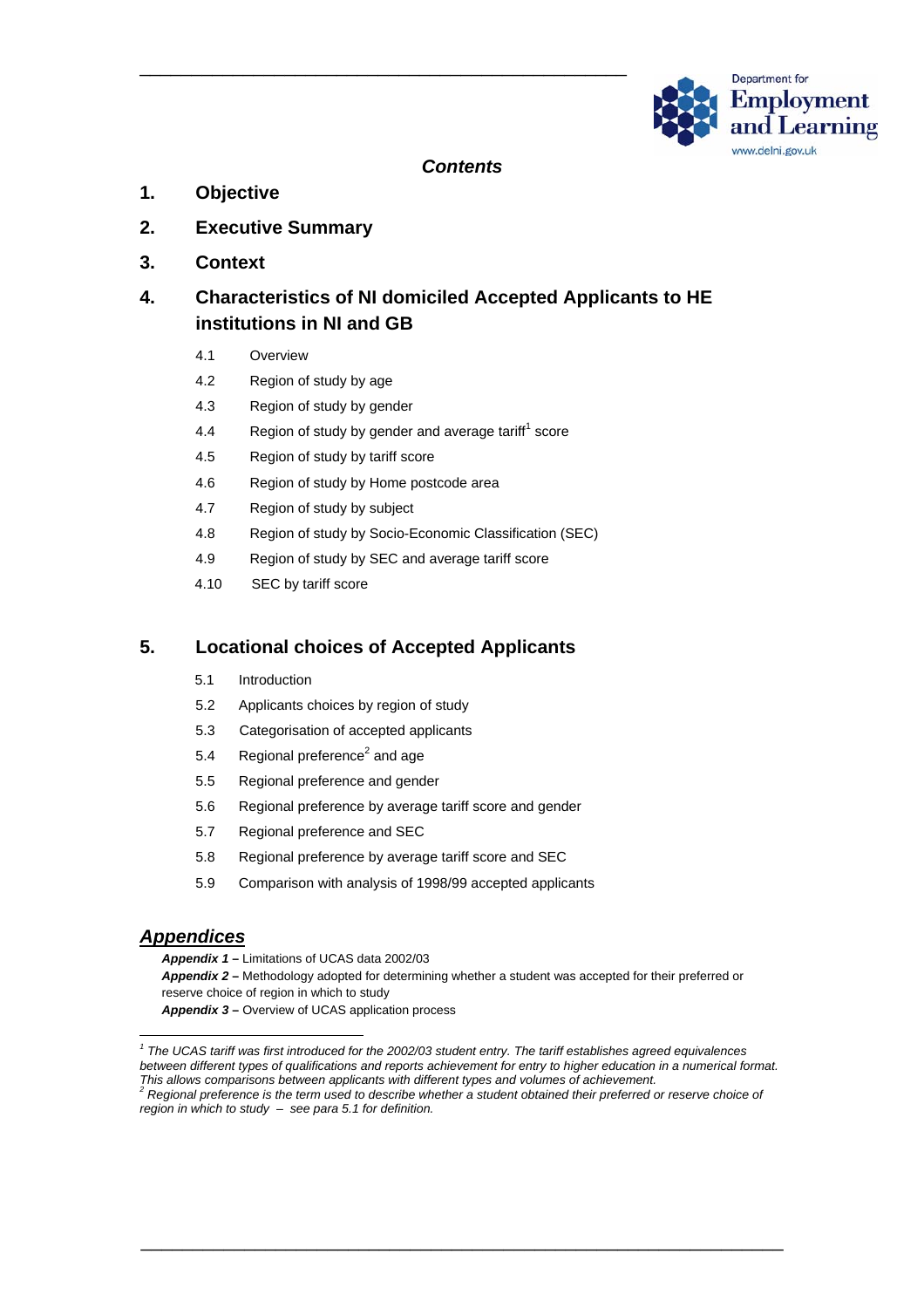

#### *Contents*

- **1. Objective**
- **2. Executive Summary**
- **3. Context**

#### **4. Characteristics of NI domiciled Accepted Applicants to HE institutions in NI and GB**

- 4.1 Overview
- 4.2 Region of study by age
- 4.3 Region of study by gender
- 4.4 Region of study by gender and average tariff<sup>[1](#page-1-0)</sup> score

\_\_\_\_\_\_\_\_\_\_\_\_\_\_\_\_\_\_\_\_\_\_\_\_\_\_\_\_\_\_\_\_\_\_\_\_\_\_\_\_\_\_\_\_\_\_\_

- 4.5 Region of study by tariff score
- 4.6 Region of study by Home postcode area
- 4.7 Region of study by subject
- 4.8 Region of study by Socio-Economic Classification (SEC)
- 4.9 Region of study by SEC and average tariff score
- 4.10 SEC by tariff score

#### **5. Locational choices of Accepted Applicants**

- 5.1 Introduction
- 5.2 Applicants choices by region of study
- 5.3 Categorisation of accepted applicants
- 5.4 Regional preference<sup>[2](#page-1-1)</sup> and age
- 5.5 Regional preference and gender
- 5.6 Regional preference by average tariff score and gender
- 5.7 Regional preference and SEC
- 5.8 Regional preference by average tariff score and SEC
- 5.9 Comparison with analysis of 1998/99 accepted applicants

#### *Appendices*

*Appendix 1* **–** Limitations of UCAS data 2002/03 *Appendix 2* **–** Methodology adopted for determining whether a student was accepted for their preferred or reserve choice of region in which to study Appendix 3 – Overview of UCAS application process

\_\_\_\_\_\_\_\_\_\_\_\_\_\_\_\_\_\_\_\_\_\_\_\_\_\_\_\_\_\_\_\_\_\_\_\_\_\_\_\_\_\_\_\_\_\_\_\_\_\_\_\_\_\_\_\_\_\_\_\_\_\_

<span id="page-1-0"></span>*1* <sup>1</sup> The UCAS tariff was first introduced for the 2002/03 student entry. The tariff establishes agreed equivalences *between different types of qualifications and reports achievement for entry to higher education in a numerical format.*  This allows comparisons between applicants with different types and volumes of achievement.<br><sup>2</sup> Regional preference is the term used to describe whether a student obtained their preferred or reserve choice of

<span id="page-1-1"></span>*region in which to study – see para 5.1 for definition.*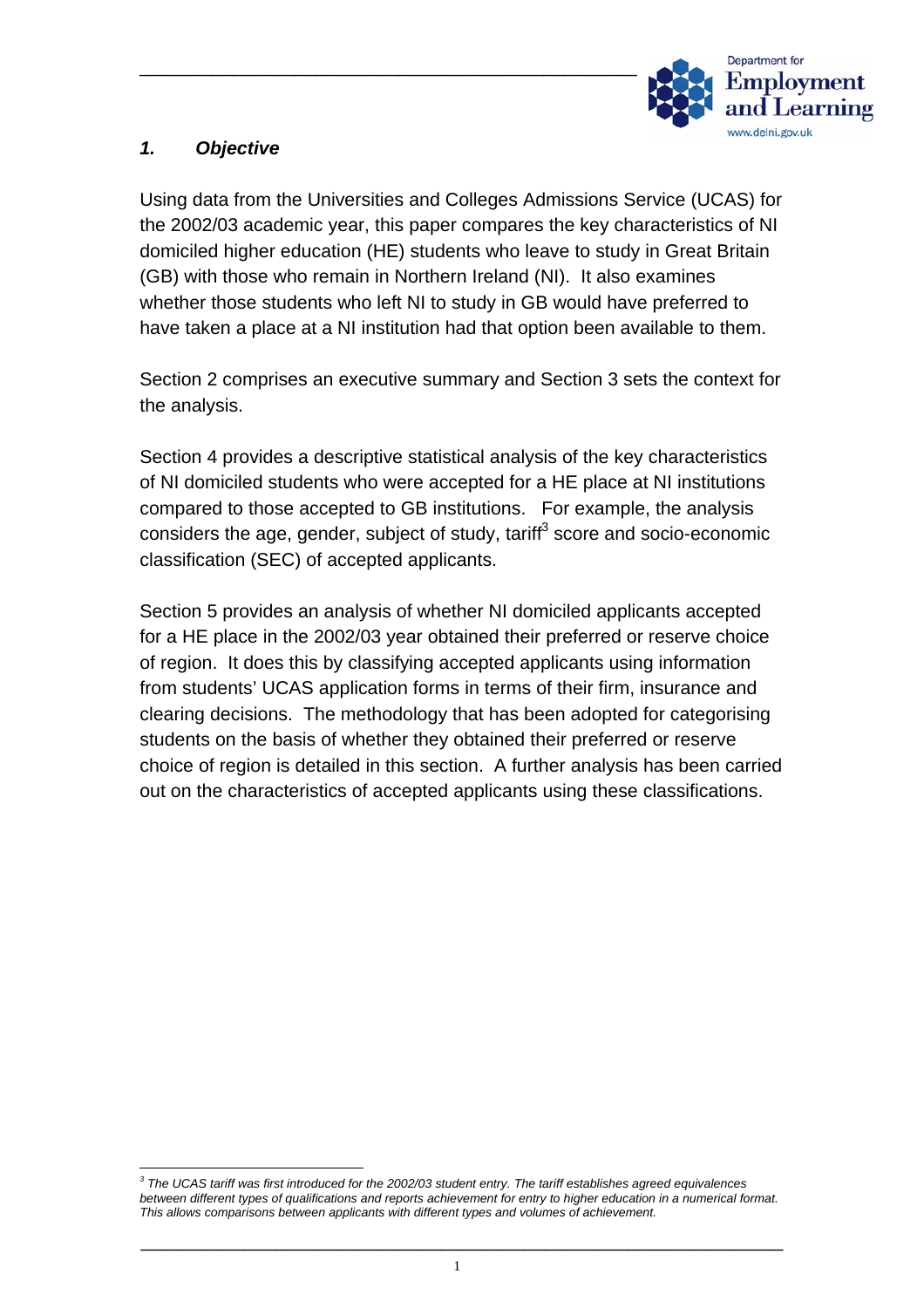

# *1. Objective*

Using data from the Universities and Colleges Admissions Service (UCAS) for the 2002/03 academic year, this paper compares the key characteristics of NI domiciled higher education (HE) students who leave to study in Great Britain (GB) with those who remain in Northern Ireland (NI). It also examines whether those students who left NI to study in GB would have preferred to have taken a place at a NI institution had that option been available to them.

Section 2 comprises an executive summary and Section 3 sets the context for the analysis.

Section 4 provides a descriptive statistical analysis of the key characteristics of NI domiciled students who were accepted for a HE place at NI institutions compared to those accepted to GB institutions. For example, the analysis considers the age, gender, subject of study, tariff $3$  score and socio-economic classification (SEC) of accepted applicants.

Section 5 provides an analysis of whether NI domiciled applicants accepted for a HE place in the 2002/03 year obtained their preferred or reserve choice of region. It does this by classifying accepted applicants using information from students' UCAS application forms in terms of their firm, insurance and clearing decisions. The methodology that has been adopted for categorising students on the basis of whether they obtained their preferred or reserve choice of region is detailed in this section. A further analysis has been carried out on the characteristics of accepted applicants using these classifications.

<span id="page-2-0"></span>*3 The UCAS tariff was first introduced for the 2002/03 student entry. The tariff establishes agreed equivalences between different types of qualifications and reports achievement for entry to higher education in a numerical format. This allows comparisons between applicants with different types and volumes of achievement.*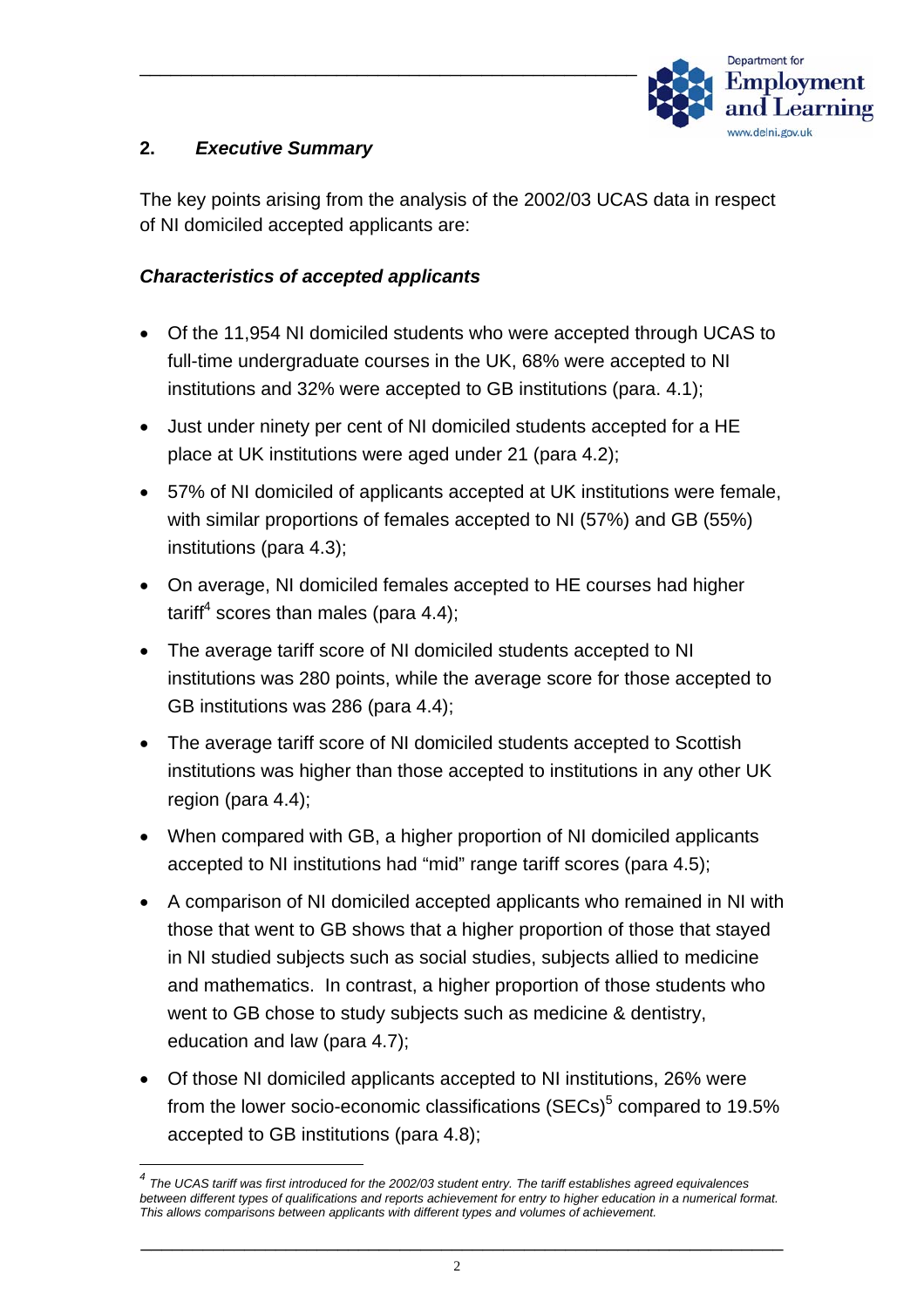

#### **2.** *Executive Summary*

 $\overline{a}$ 

The key points arising from the analysis of the 2002/03 UCAS data in respect of NI domiciled accepted applicants are:

#### *Characteristics of accepted applicants*

- Of the 11,954 NI domiciled students who were accepted through UCAS to full-time undergraduate courses in the UK, 68% were accepted to NI institutions and 32% were accepted to GB institutions (para. 4.1);
- Just under ninety per cent of NI domiciled students accepted for a HE place at UK institutions were aged under 21 (para 4.2);
- 57% of NI domiciled of applicants accepted at UK institutions were female, with similar proportions of females accepted to NI (57%) and GB (55%) institutions (para 4.3);
- On average, NI domiciled females accepted to HE courses had higher tariff<sup>4</sup> scores than males (para 4.4);
- The average tariff score of NI domiciled students accepted to NI institutions was 280 points, while the average score for those accepted to GB institutions was 286 (para 4.4);
- The average tariff score of NI domiciled students accepted to Scottish institutions was higher than those accepted to institutions in any other UK region (para 4.4);
- When compared with GB, a higher proportion of NI domiciled applicants accepted to NI institutions had "mid" range tariff scores (para 4.5);
- A comparison of NI domiciled accepted applicants who remained in NI with those that went to GB shows that a higher proportion of those that stayed in NI studied subjects such as social studies, subjects allied to medicine and mathematics. In contrast, a higher proportion of those students who went to GB chose to study subjects such as medicine & dentistry, education and law (para 4.7);
- Of those NI domiciled applicants accepted to NI institutions, 26% were from the lower socio-economic classifications (SECs) $5$  compared to 19.5% accepted to GB institutions (para 4.8);

<span id="page-3-0"></span>*<sup>4</sup> The UCAS tariff was first introduced for the 2002/03 student entry. The tariff establishes agreed equivalences between different types of qualifications and reports achievement for entry to higher education in a numerical format. This allows comparisons between applicants with different types and volumes of achievement.*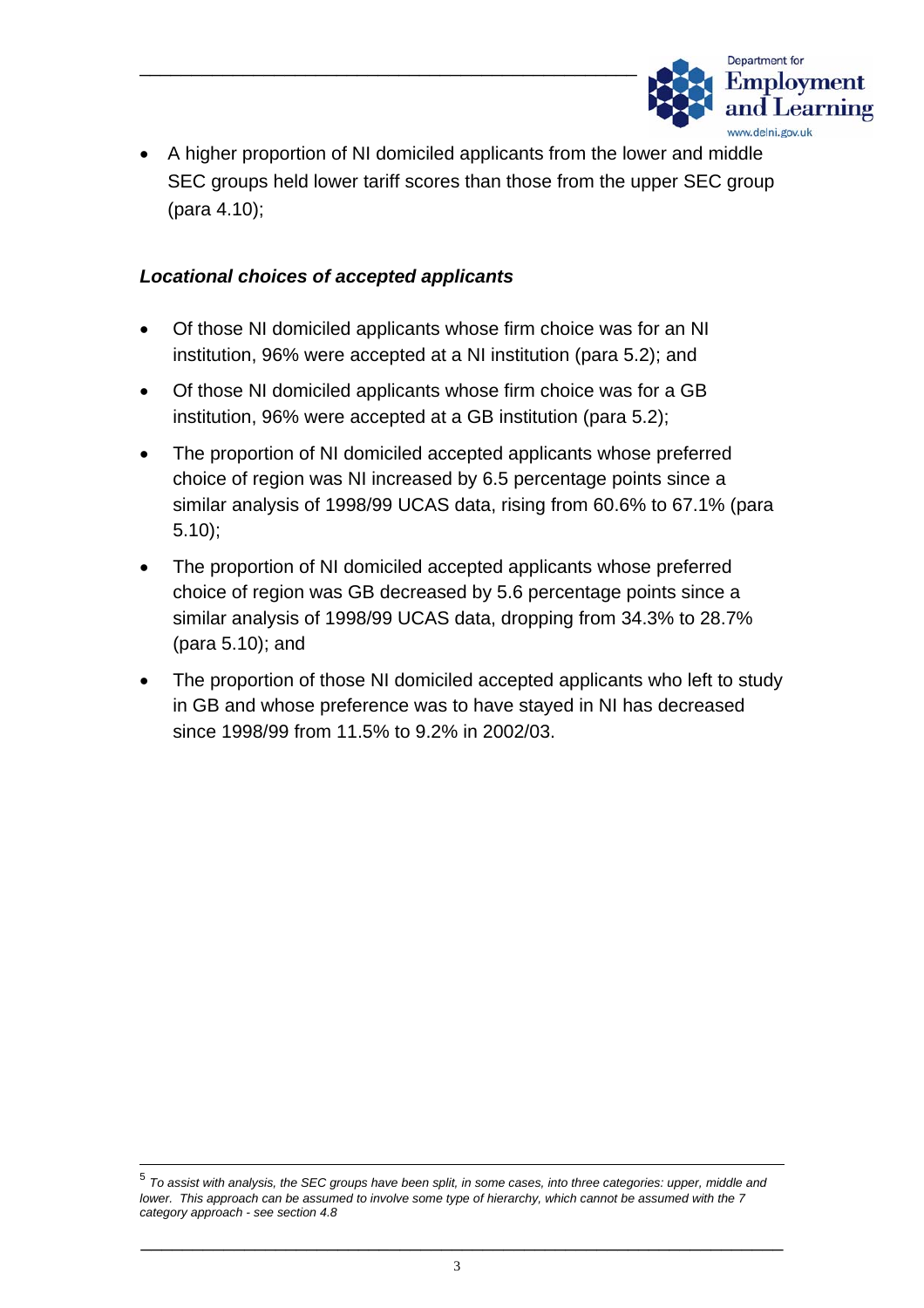

• A higher proportion of NI domiciled applicants from the lower and middle SEC groups held lower tariff scores than those from the upper SEC group (para 4.10);

#### *Locational choices of accepted applicants*

- Of those NI domiciled applicants whose firm choice was for an NI institution, 96% were accepted at a NI institution (para 5.2); and
- Of those NI domiciled applicants whose firm choice was for a GB institution, 96% were accepted at a GB institution (para 5.2);
- The proportion of NI domiciled accepted applicants whose preferred choice of region was NI increased by 6.5 percentage points since a similar analysis of 1998/99 UCAS data, rising from 60.6% to 67.1% (para 5.10);
- The proportion of NI domiciled accepted applicants whose preferred choice of region was GB decreased by 5.6 percentage points since a similar analysis of 1998/99 UCAS data, dropping from 34.3% to 28.7% (para 5.10); and
- The proportion of those NI domiciled accepted applicants who left to study in GB and whose preference was to have stayed in NI has decreased since 1998/99 from 11.5% to 9.2% in 2002/03.

 <sup>5</sup> *To assist with analysis, the SEC groups have been split, in some cases, into three categories: upper, middle and lower. This approach can be assumed to involve some type of hierarchy, which cannot be assumed with the 7 category approach - see section 4.8*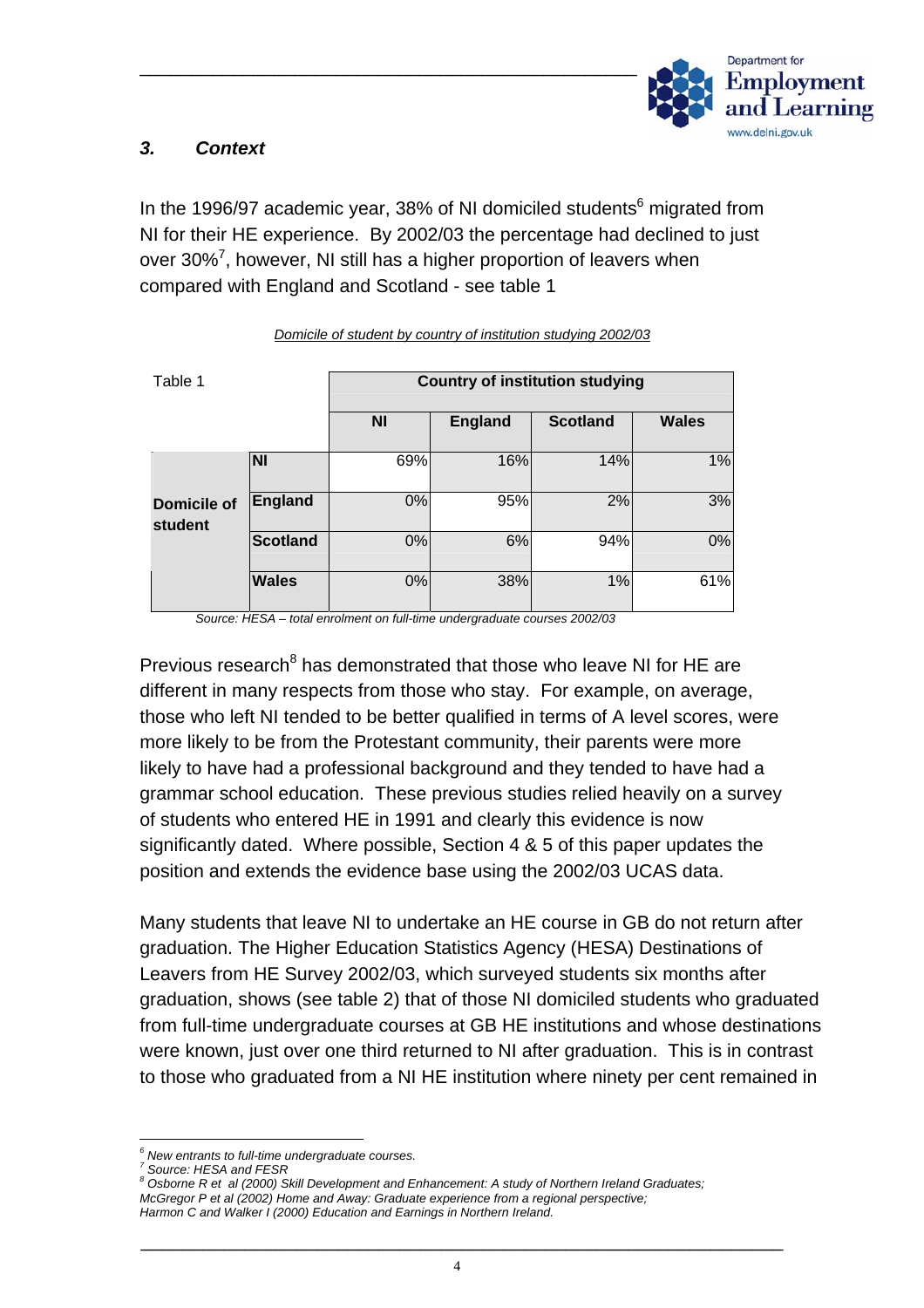

## *3. Context*

In the 1996/97 academic year, 38% of NI domiciled students $^6$  migrated from NI for their HE experience. By 2002/03 the percentage had declined to just over 30%<sup>[7](#page-5-1)</sup>, however, NI still has a higher proportion of leavers when compared with England and Scotland - see table 1

| Table 1                       |                         | <b>Country of institution studying</b> |                |                 |              |  |  |
|-------------------------------|-------------------------|----------------------------------------|----------------|-----------------|--------------|--|--|
|                               |                         | <b>NI</b>                              | <b>England</b> | <b>Scotland</b> | <b>Wales</b> |  |  |
|                               | $\overline{\mathsf{N}}$ | 69%                                    | 16%            | 14%             | 1%           |  |  |
| <b>Domicile of</b><br>student | England                 | 0%                                     | 95%            | 2%              | 3%           |  |  |
|                               | Scotland                | 0%                                     | 6%             | 94%             | 0%           |  |  |
|                               | <b>Wales</b>            | 0%                                     | 38%            | 1%              | 61%          |  |  |

*Domicile of student by country of institution studying 2002/03*

*Source: HESA – total enrolment on full-time undergraduate courses 2002/03* 

Previous research<sup>8</sup> has demonstrated that those who leave NI for HE are different in many respects from those who stay. For example, on average, those who left NI tended to be better qualified in terms of A level scores, were more likely to be from the Protestant community, their parents were more likely to have had a professional background and they tended to have had a grammar school education. These previous studies relied heavily on a survey of students who entered HE in 1991 and clearly this evidence is now significantly dated. Where possible, Section 4 & 5 of this paper updates the position and extends the evidence base using the 2002/03 UCAS data.

Many students that leave NI to undertake an HE course in GB do not return after graduation. The Higher Education Statistics Agency (HESA) Destinations of Leavers from HE Survey 2002/03, which surveyed students six months after graduation, shows (see table 2) that of those NI domiciled students who graduated from full-time undergraduate courses at GB HE institutions and whose destinations were known, just over one third returned to NI after graduation. This is in contrast to those who graduated from a NI HE institution where ninety per cent remained in

*6*  $<sup>6</sup>$  New entrants to full-time undergraduate courses.</sup>

<span id="page-5-1"></span><span id="page-5-0"></span>**Source: HESA and FESR** 

<span id="page-5-2"></span>*Osborne R et al (2000) Skill Development and Enhancement: A study of Northern Ireland Graduates; McGregor P et al (2002) Home and Away: Graduate experience from a regional perspective; Harmon C and Walker I (2000) Education and Earnings in Northern Ireland.*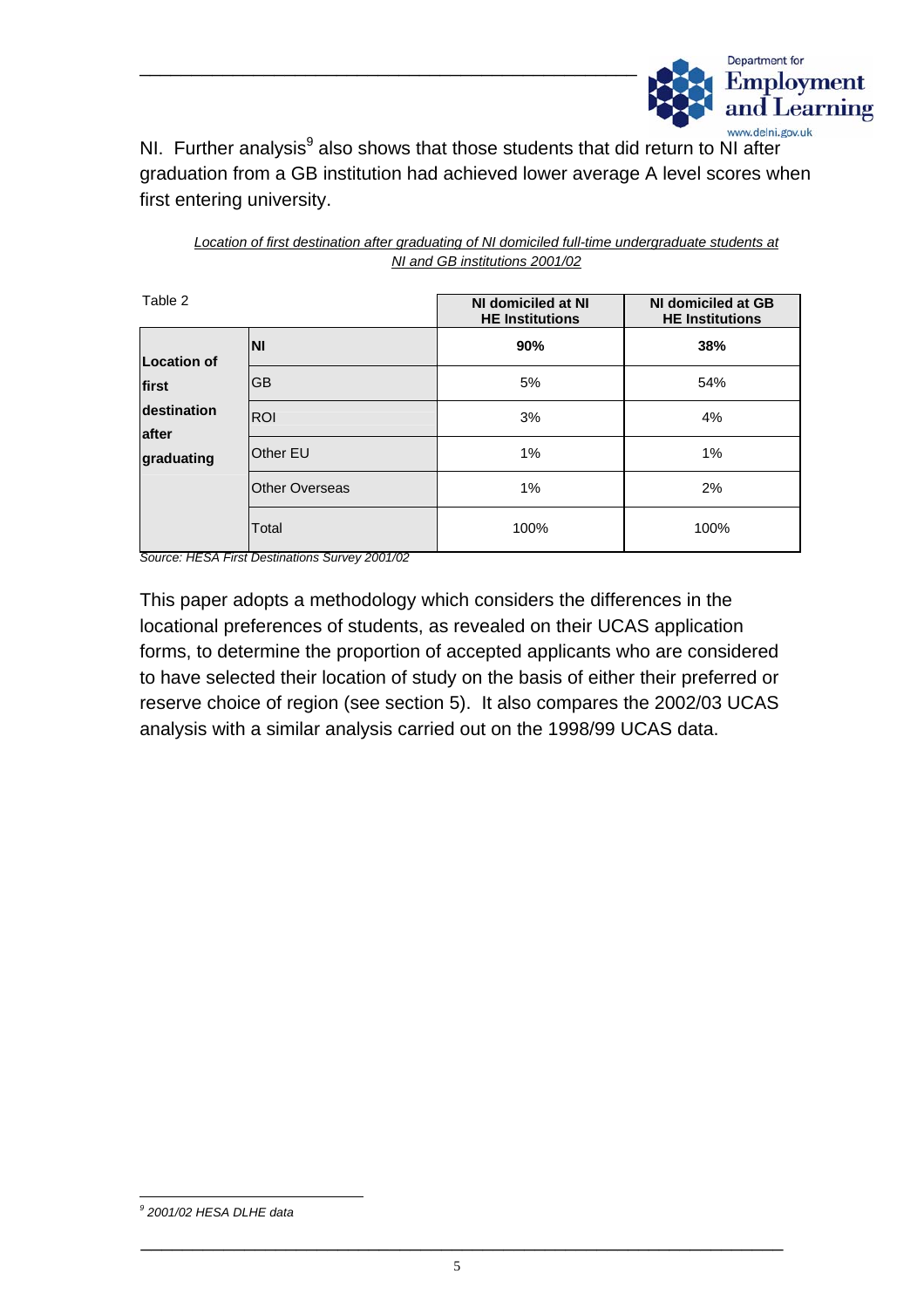

NI. Further analysis<sup>9</sup> also shows that those students that did return to NI after graduation from a GB institution had achieved lower average A level scores when first entering university.

\_\_\_\_\_\_\_\_\_\_\_\_\_\_\_\_\_\_\_\_\_\_\_\_\_\_\_\_\_\_\_\_\_\_\_\_\_\_\_\_\_\_\_\_\_\_\_\_

| Table 2                            |                       | NI domiciled at NI<br><b>HE Institutions</b> | NI domiciled at GB<br><b>HE Institutions</b> |  |
|------------------------------------|-----------------------|----------------------------------------------|----------------------------------------------|--|
| <b>Location of</b>                 | <b>NI</b>             | 90%                                          | 38%                                          |  |
| first                              | <b>GB</b>             | 5%                                           | 54%                                          |  |
| destination<br>after<br>graduating | <b>ROI</b>            | 3%                                           | 4%                                           |  |
|                                    | <b>Other EU</b>       | 1%                                           | 1%                                           |  |
|                                    | <b>Other Overseas</b> | 1%                                           | 2%                                           |  |
|                                    | Total                 | 100%                                         | 100%                                         |  |

*Location of first destination after graduating of NI domiciled full-time undergraduate students at NI and GB institutions 2001/02*

*Source: HESA First Destinations Survey 2001/02* 

This paper adopts a methodology which considers the differences in the locational preferences of students, as revealed on their UCAS application forms, to determine the proportion of accepted applicants who are considered to have selected their location of study on the basis of either their preferred or reserve choice of region (see section 5). It also compares the 2002/03 UCAS analysis with a similar analysis carried out on the 1998/99 UCAS data.

<span id="page-6-0"></span>*9 2001/02 HESA DLHE data*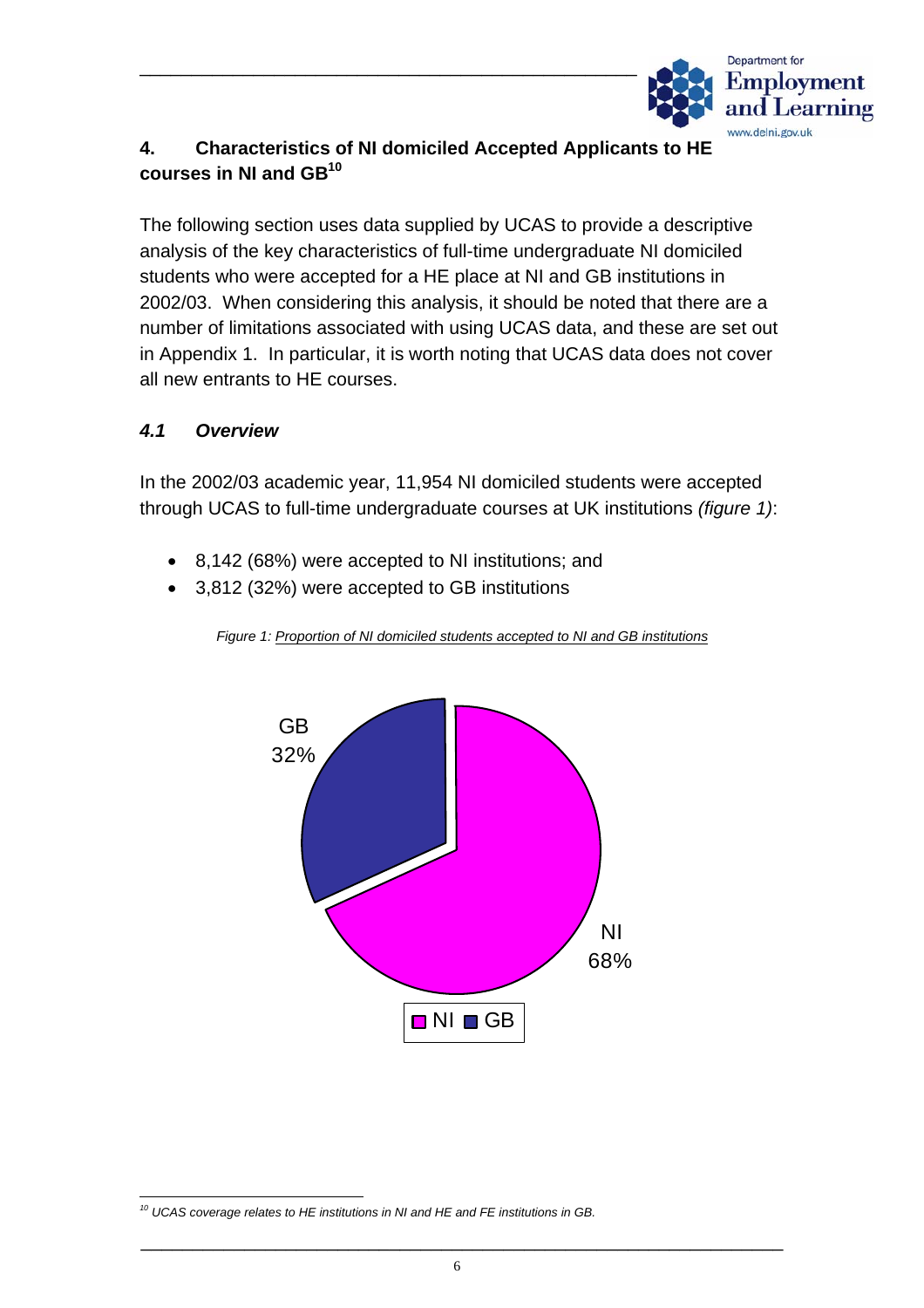

# **4. Characteristics of NI domiciled Accepted Applicants to HE courses in NI and GB[10](#page-7-0)**

\_\_\_\_\_\_\_\_\_\_\_\_\_\_\_\_\_\_\_\_\_\_\_\_\_\_\_\_\_\_\_\_\_\_\_\_\_\_\_\_\_\_\_\_\_\_\_\_

The following section uses data supplied by UCAS to provide a descriptive analysis of the key characteristics of full-time undergraduate NI domiciled students who were accepted for a HE place at NI and GB institutions in 2002/03. When considering this analysis, it should be noted that there are a number of limitations associated with using UCAS data, and these are set out in Appendix 1. In particular, it is worth noting that UCAS data does not cover all new entrants to HE courses.

#### *4.1 Overview*

In the 2002/03 academic year, 11,954 NI domiciled students were accepted through UCAS to full-time undergraduate courses at UK institutions *(figure 1)*:

- 8,142 (68%) were accepted to NI institutions; and
- 3,812 (32%) were accepted to GB institutions



*Figure 1: Proportion of NI domiciled students accepted to NI and GB institutions*

<span id="page-7-0"></span>*10 UCAS coverage relates to HE institutions in NI and HE and FE institutions in GB.*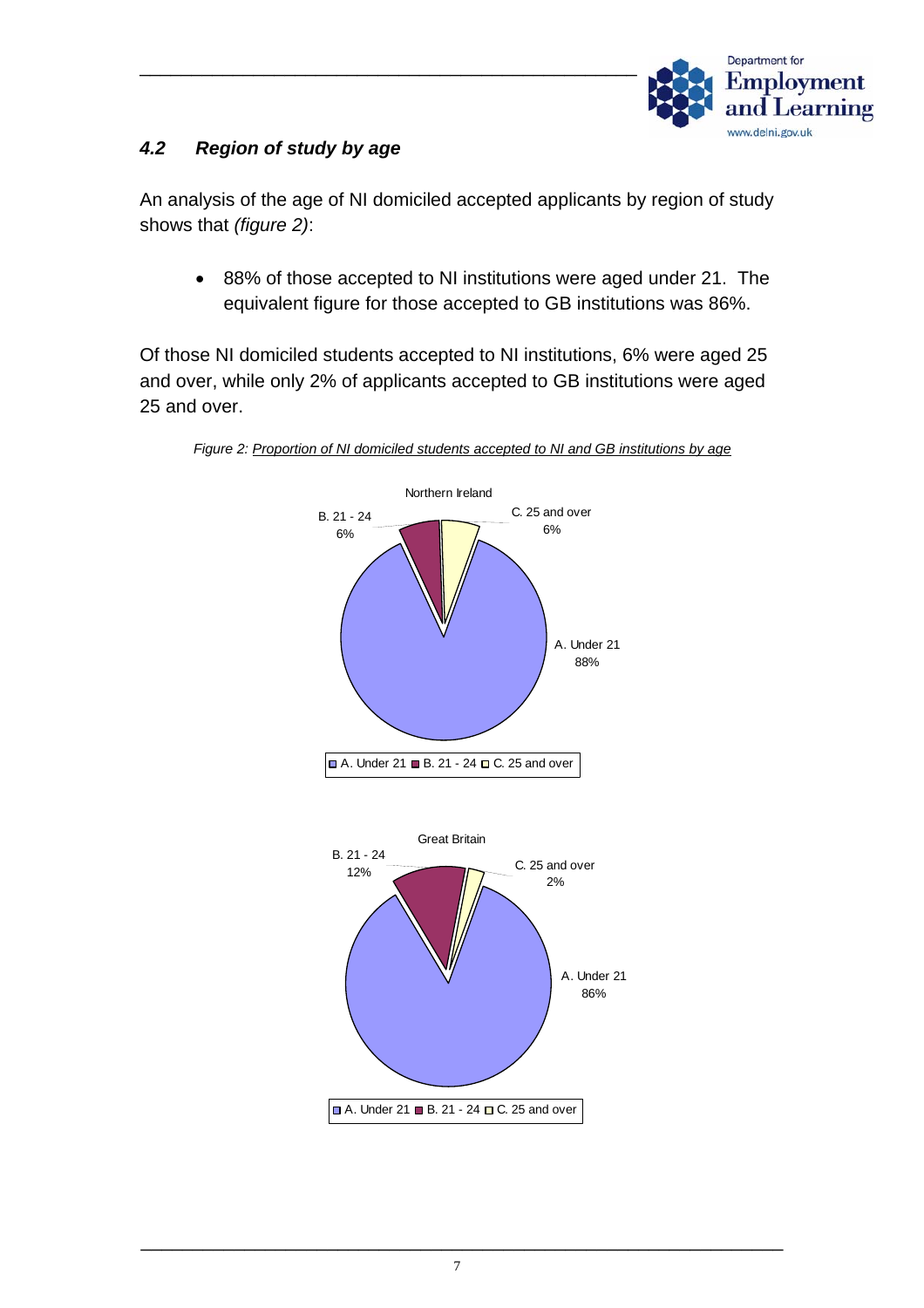

# *4.2 Region of study by age*

An analysis of the age of NI domiciled accepted applicants by region of study shows that *(figure 2)*:

• 88% of those accepted to NI institutions were aged under 21. The equivalent figure for those accepted to GB institutions was 86%.

Of those NI domiciled students accepted to NI institutions, 6% were aged 25 and over, while only 2% of applicants accepted to GB institutions were aged 25 and over.



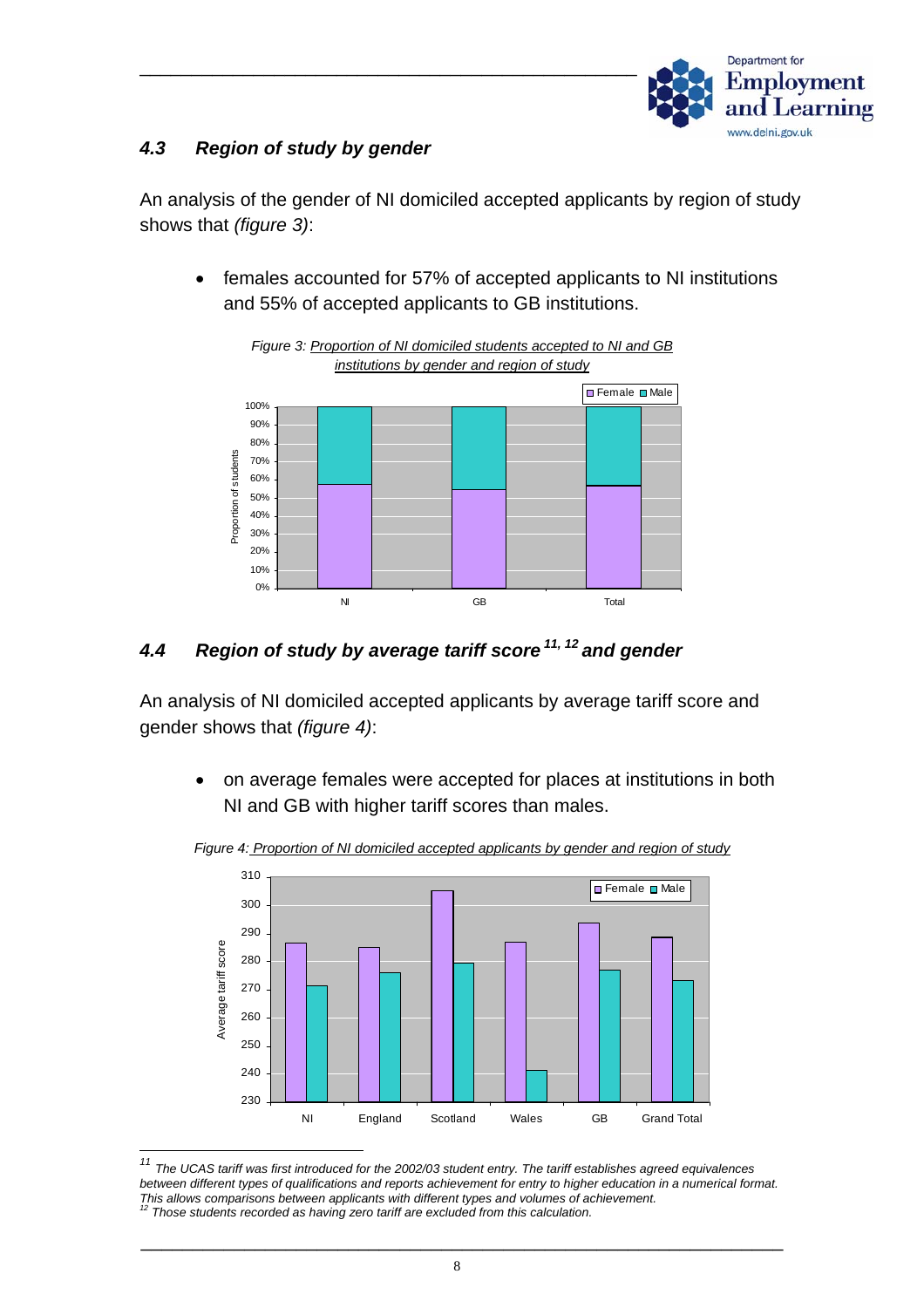

#### *4.3 Region of study by gender*

An analysis of the gender of NI domiciled accepted applicants by region of study shows that *(figure 3)*:

• females accounted for 57% of accepted applicants to NI institutions and 55% of accepted applicants to GB institutions.





# *4.4 Region of study by average tariff score [11,](#page-9-0) [12](#page-9-1) and gender*

An analysis of NI domiciled accepted applicants by average tariff score and gender shows that *(figure 4)*:

• on average females were accepted for places at institutions in both NI and GB with higher tariff scores than males.



*Figure 4: Proportion of NI domiciled accepted applicants by gender and region of study*

<span id="page-9-1"></span><span id="page-9-0"></span>*<sup>11</sup> The UCAS tariff was first introduced for the 2002/03 student entry. The tariff establishes agreed equivalences between different types of qualifications and reports achievement for entry to higher education in a numerical format. This allows comparisons between applicants with different types and volumes of achievement. 12 Those students recorded as having zero tariff are excluded from this calculation.*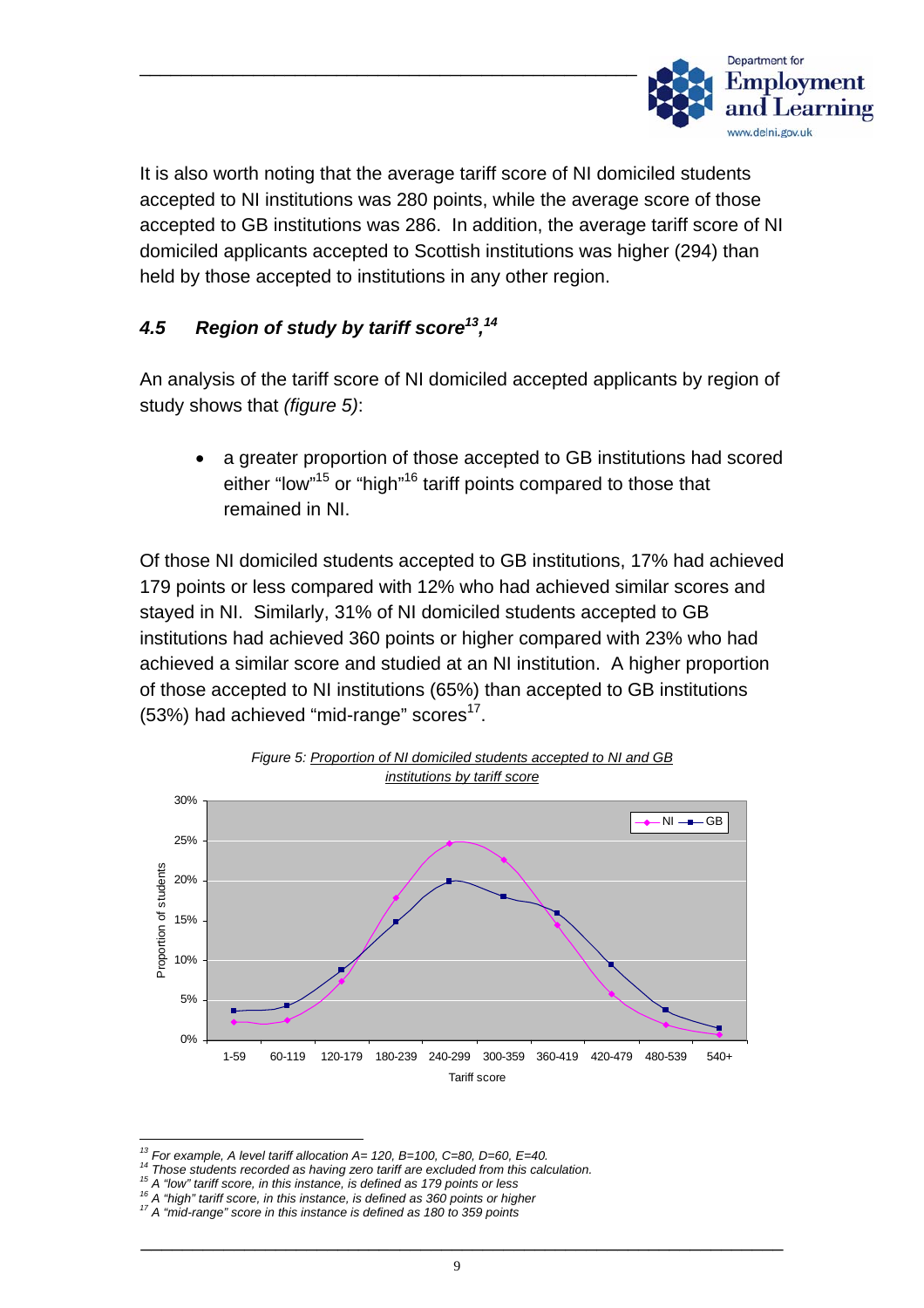

It is also worth noting that the average tariff score of NI domiciled students accepted to NI institutions was 280 points, while the average score of those accepted to GB institutions was 286. In addition, the average tariff score of NI domiciled applicants accepted to Scottish institutions was higher (294) than held by those accepted to institutions in any other region.

## *4.5 Region of study by tariff score[13,](#page-10-0) [14](#page-10-1)*

An analysis of the tariff score of NI domiciled accepted applicants by region of study shows that *(figure 5)*:

• a greater proportion of those accepted to GB institutions had scored either "low"<sup>15</sup> or "high"<sup>16</sup> tariff points compared to those that remained in NI.

Of those NI domiciled students accepted to GB institutions, 17% had achieved 179 points or less compared with 12% who had achieved similar scores and stayed in NI. Similarly, 31% of NI domiciled students accepted to GB institutions had achieved 360 points or higher compared with 23% who had achieved a similar score and studied at an NI institution. A higher proportion of those accepted to NI institutions (65%) than accepted to GB institutions  $(53%)$  had achieved "mid-range" scores<sup>17</sup>.



*Figure 5: Proportion of NI domiciled students accepted to NI and GB* 

<span id="page-10-1"></span>

<span id="page-10-0"></span><sup>&</sup>lt;sup>13</sup> For example, A level tariff allocation A= 120, B=100, C=80, D=60, E=40.<br><sup>14</sup> Those students recorded as having zero tariff are excluded from this calculation.<br><sup>15</sup> A "low" tariff score, in this instance, is defined a

<span id="page-10-2"></span>

<span id="page-10-3"></span>

<span id="page-10-4"></span>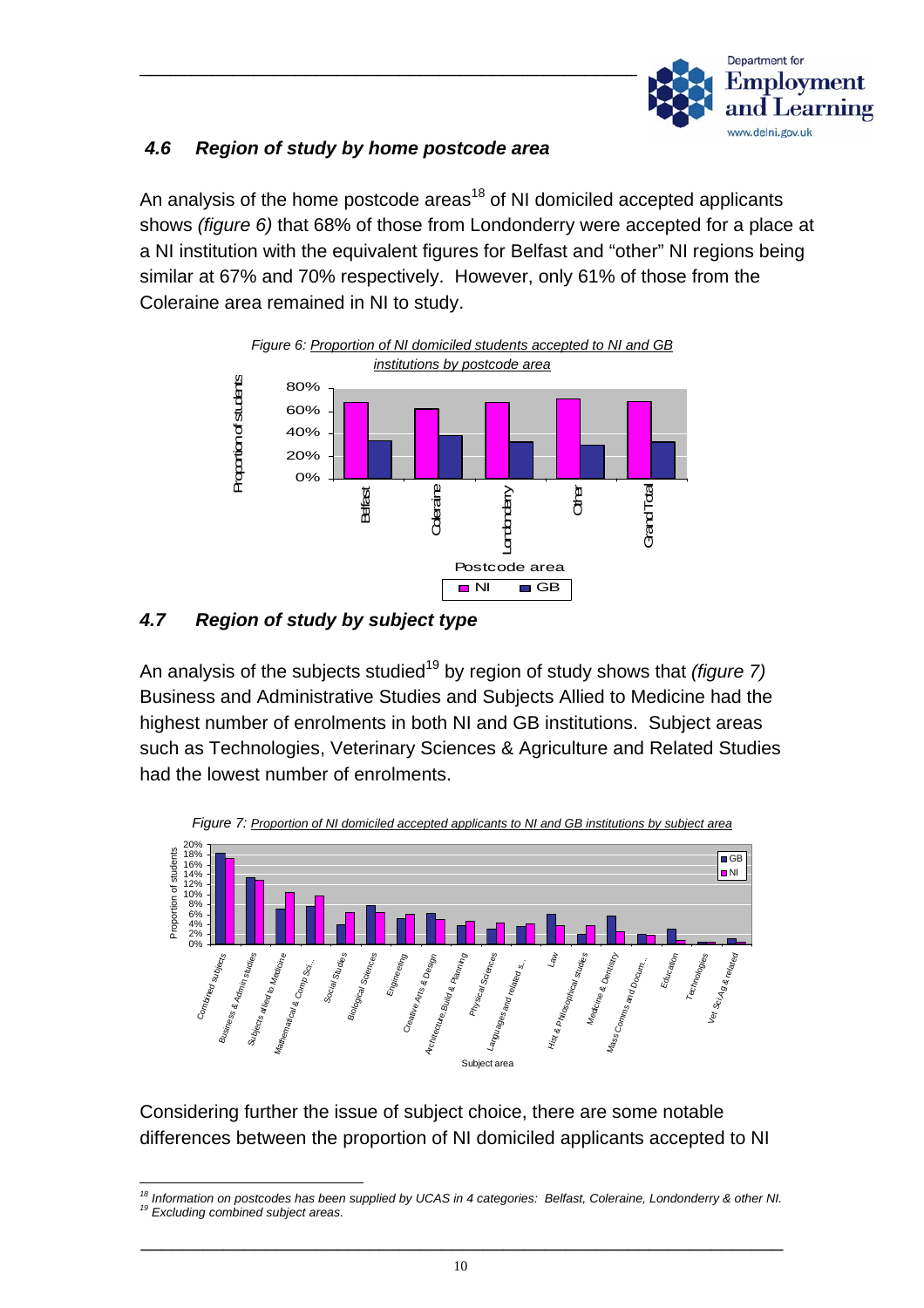

#### *4.6 Region of study by home postcode area*

An analysis of the home postcode areas<sup>18</sup> of NI domiciled accepted applicants shows *(figure 6)* that 68% of those from Londonderry were accepted for a place at a NI institution with the equivalent figures for Belfast and "other" NI regions being similar at 67% and 70% respectively. However, only 61% of those from the Coleraine area remained in NI to study.



# *4.7 Region of study by subject type*

An analysis of the subjects studied<sup>19</sup> by region of study shows that *(figure 7)* Business and Administrative Studies and Subjects Allied to Medicine had the highest number of enrolments in both NI and GB institutions. Subject areas such as Technologies, Veterinary Sciences & Agriculture and Related Studies had the lowest number of enrolments.



Considering further the issue of subject choice, there are some notable differences between the proportion of NI domiciled applicants accepted to NI

<span id="page-11-1"></span><span id="page-11-0"></span><sup>&</sup>lt;sup>18</sup> Information on postcodes has been supplied by UCAS in 4 categories: Belfast, Coleraine, Londonderry & other NI.<br><sup>19</sup> Excluding combined subject areas.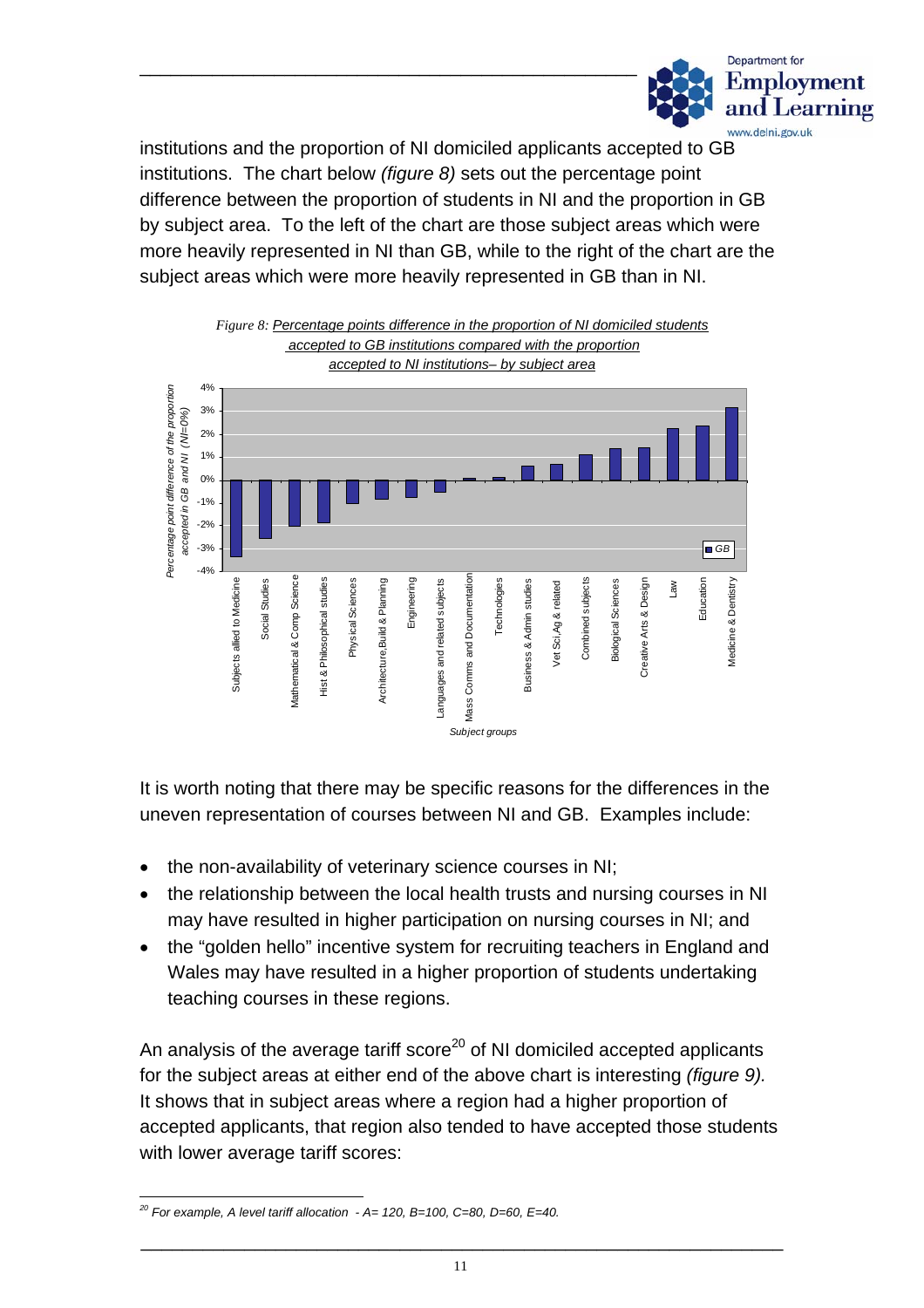

institutions and the proportion of NI domiciled applicants accepted to GB institutions. The chart below *(figure 8)* sets out the percentage point difference between the proportion of students in NI and the proportion in GB by subject area. To the left of the chart are those subject areas which were more heavily represented in NI than GB, while to the right of the chart are the subject areas which were more heavily represented in GB than in NI.



It is worth noting that there may be specific reasons for the differences in the uneven representation of courses between NI and GB. Examples include:

- the non-availability of veterinary science courses in NI;
- $\bullet$ the relationship between the local health trusts and nursing courses in NI may have resulted in higher participation on nursing courses in NI; and
- the "golden hello" incentive system for recruiting teachers in England and Wales may have resulted in a higher proportion of students undertaking teaching courses in these regions.

An analysis of the average tariff score<sup>20</sup> of NI domiciled accepted applicants for the subject areas at either end of the above chart is interesting *(figure 9).* It shows that in subject areas where a region had a higher proportion of accepted applicants, that region also tended to have accepted those students with lower average tariff scores:

<span id="page-12-0"></span> $\overline{a}$ *20 For example, A level tariff allocation - A= 120, B=100, C=80, D=60, E=40.*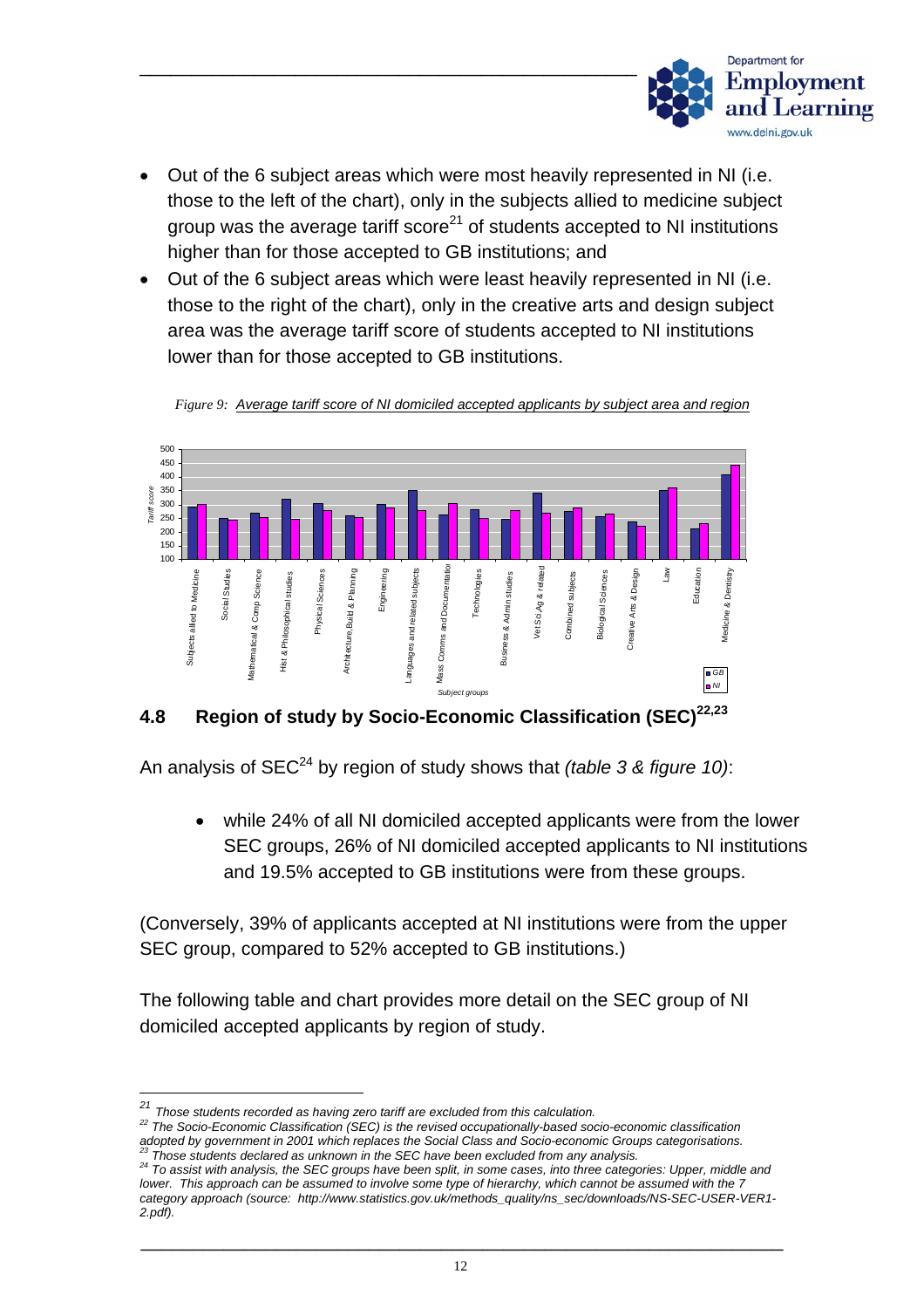

- Out of the 6 subject areas which were most heavily represented in NI (i.e. those to the left of the chart), only in the subjects allied to medicine subject group was the average tariff score $21$  of students accepted to NI institutions higher than for those accepted to GB institutions; and
- Out of the 6 subject areas which were least heavily represented in NI (i.e. those to the right of the chart), only in the creative arts and design subject area was the average tariff score of students accepted to NI institutions lower than for those accepted to GB institutions.



*Figure 9: Average tariff score of NI domiciled accepted applicants by subject area and region*

# **4.8 Region of study by Socio-Economic Classification (SEC)[22,](#page-13-1)[23](#page-13-2)**

An analysis of SEC<sup>24</sup> by region of study shows that *(table 3 & figure 10)*:

• while 24% of all NI domiciled accepted applicants were from the lower SEC groups, 26% of NI domiciled accepted applicants to NI institutions and 19.5% accepted to GB institutions were from these groups.

(Conversely, 39% of applicants accepted at NI institutions were from the upper SEC group, compared to 52% accepted to GB institutions.)

The following table and chart provides more detail on the SEC group of NI domiciled accepted applicants by region of study.

<span id="page-13-0"></span>*<sup>21</sup> Those students recorded as having zero tariff are excluded from this calculation.*

<span id="page-13-1"></span>*<sup>22</sup> The Socio-Economic Classification (SEC) is the revised occupationally-based socio-economic classification* 

<span id="page-13-3"></span><span id="page-13-2"></span> $^{23}$  Those students declared as unknown in the SEC have been excluded from any analysis.<br> $^{24}$  To assist with analysis, the SEC groups have been split, in some cases, into three categories: Upper, middle and *lower. This approach can be assumed to involve some type of hierarchy, which cannot be assumed with the 7 category approach (source: http://www.statistics.gov.uk/methods\_quality/ns\_sec/downloads/NS-SEC-USER-VER1- 2.pdf).*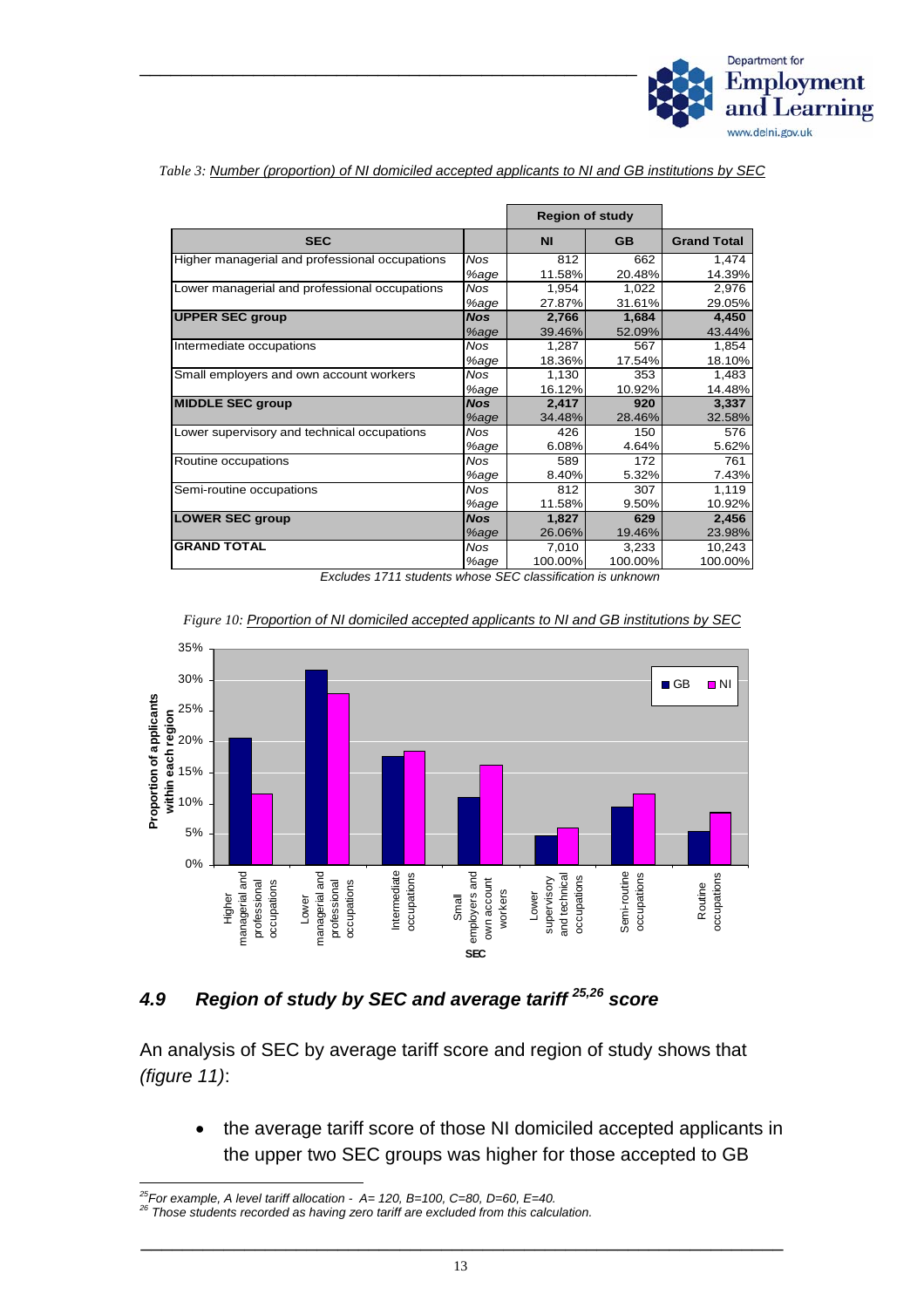

|                                                |            | <b>Region of study</b> |           |                    |
|------------------------------------------------|------------|------------------------|-----------|--------------------|
| <b>SEC</b>                                     |            | <b>NI</b>              | <b>GB</b> | <b>Grand Total</b> |
| Higher managerial and professional occupations | <b>Nos</b> | 812                    | 662       | 1,474              |
|                                                | %age       | 11.58%                 | 20.48%    | 14.39%             |
| Lower managerial and professional occupations  | <b>Nos</b> | 1,954                  | 1,022     | 2,976              |
|                                                | %age       | 27.87%                 | 31.61%    | 29.05%             |
| <b>UPPER SEC group</b>                         | <b>Nos</b> | 2,766                  | 1,684     | 4,450              |
|                                                | %age       | 39.46%                 | 52.09%    | 43.44%             |
| Intermediate occupations                       | <b>Nos</b> | 1,287                  | 567       | 1,854              |
|                                                | %age       | 18.36%                 | 17.54%    | 18.10%             |
| Small employers and own account workers        | <b>Nos</b> | 1.130                  | 353       | 1,483              |
|                                                | %age       | 16.12%                 | 10.92%    | 14.48%             |
| <b>MIDDLE SEC group</b>                        | <b>Nos</b> | 2.417                  | 920       | 3.337              |
|                                                | %age       | 34.48%                 | 28.46%    | 32.58%             |
| Lower supervisory and technical occupations    | <b>Nos</b> | 426                    | 150       | 576                |
|                                                | %age       | 6.08%                  | 4.64%     | 5.62%              |
| Routine occupations                            | <b>Nos</b> | 589                    | 172       | 761                |
|                                                | %age       | 8.40%                  | 5.32%     | 7.43%              |
| Semi-routine occupations                       | <b>Nos</b> | 812                    | 307       | 1,119              |
|                                                | %age       | 11.58%                 | 9.50%     | 10.92%             |
| <b>LOWER SEC group</b>                         | <b>Nos</b> | 1,827                  | 629       | 2,456              |
|                                                | %age       | 26.06%                 | 19.46%    | 23.98%             |
| <b>GRAND TOTAL</b>                             | <b>Nos</b> | 7,010                  | 3,233     | 10,243             |
|                                                | %age       | 100.00%                | 100.00%   | 100.00%            |

*Table 3: Number (proportion) of NI domiciled accepted applicants to NI and GB institutions by SEC*

*Excludes 1711 students whose SEC classification is unknown* 



*Figure 10: Proportion of NI domiciled accepted applicants to NI and GB institutions by SEC*

# *4.9 Region of study by SEC and average tariff [25,](#page-14-0)[26](#page-14-1) score*

An analysis of SEC by average tariff score and region of study shows that *(figure 11)*:

• the average tariff score of those NI domiciled accepted applicants in the upper two SEC groups was higher for those accepted to GB

<span id="page-14-0"></span>*25For example, A level tariff allocation - A= 120, B=100, C=80, D=60, E=40. 26 Those students recorded as having zero tariff are excluded from this calculation.* 

<span id="page-14-1"></span>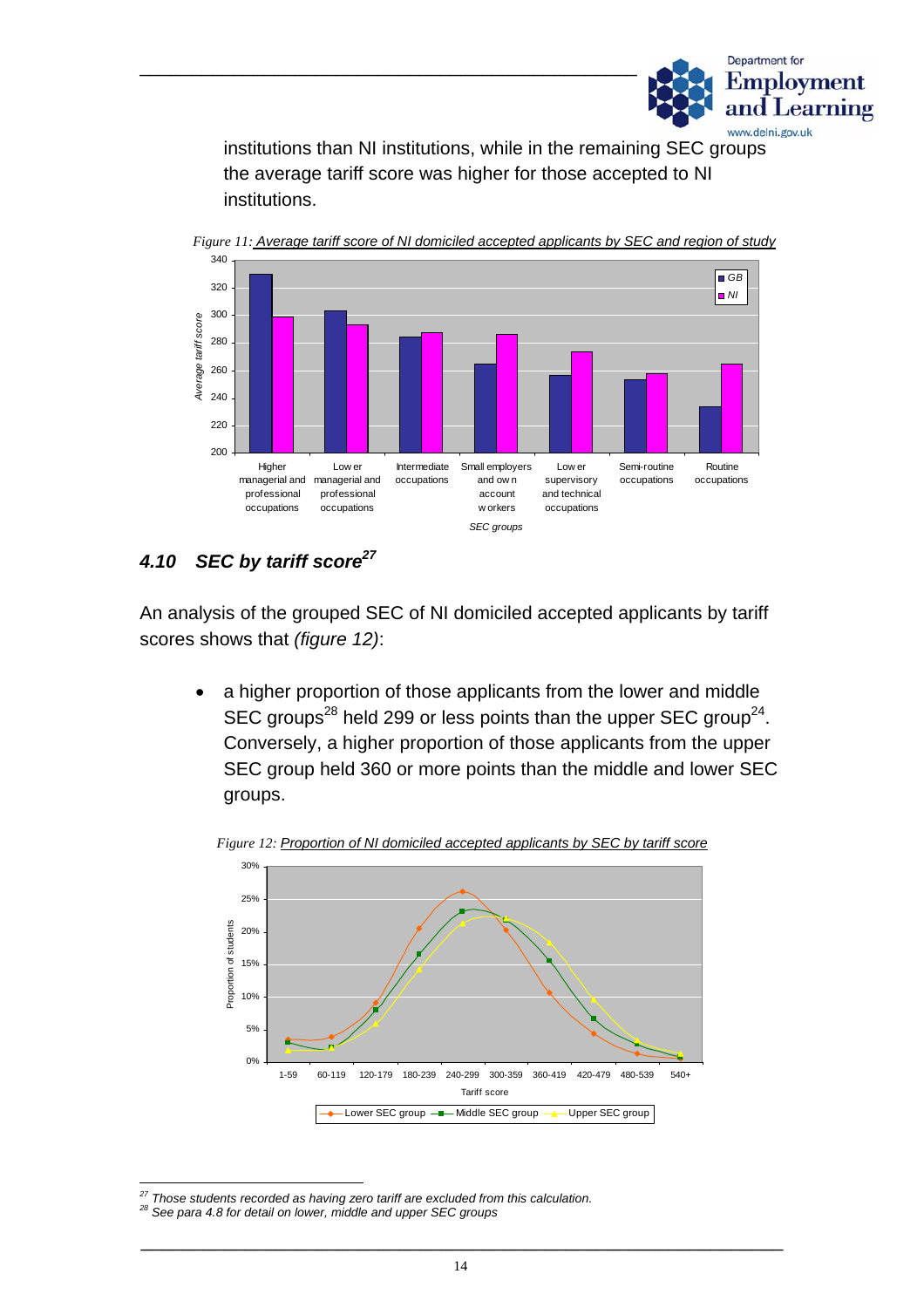

institutions than NI institutions, while in the remaining SEC groups the average tariff score was higher for those accepted to NI institutions.



*Figure 11: Average tariff score of NI domiciled accepted applicants by SEC and region of study*

#### *4.10 SEC by tariff scor[e27](#page-15-0)*

An analysis of the grouped SEC of NI domiciled accepted applicants by tariff scores shows that *(figure 12)*:

• a higher proportion of those applicants from the lower and middle SEC groups<sup>28</sup> held 299 or less points than the upper SEC group<sup>24</sup>. Conversely, a higher proportion of those applicants from the upper SEC group held 360 or more points than the middle and lower SEC groups.



*Figure 12: Proportion of NI domiciled accepted applicants by SEC by tariff score*

<span id="page-15-0"></span>*27 Those students recorded as having zero tariff are excluded from this calculation. 28 See para 4.8 for detail on lower, middle and upper SEC groups* 

<span id="page-15-1"></span>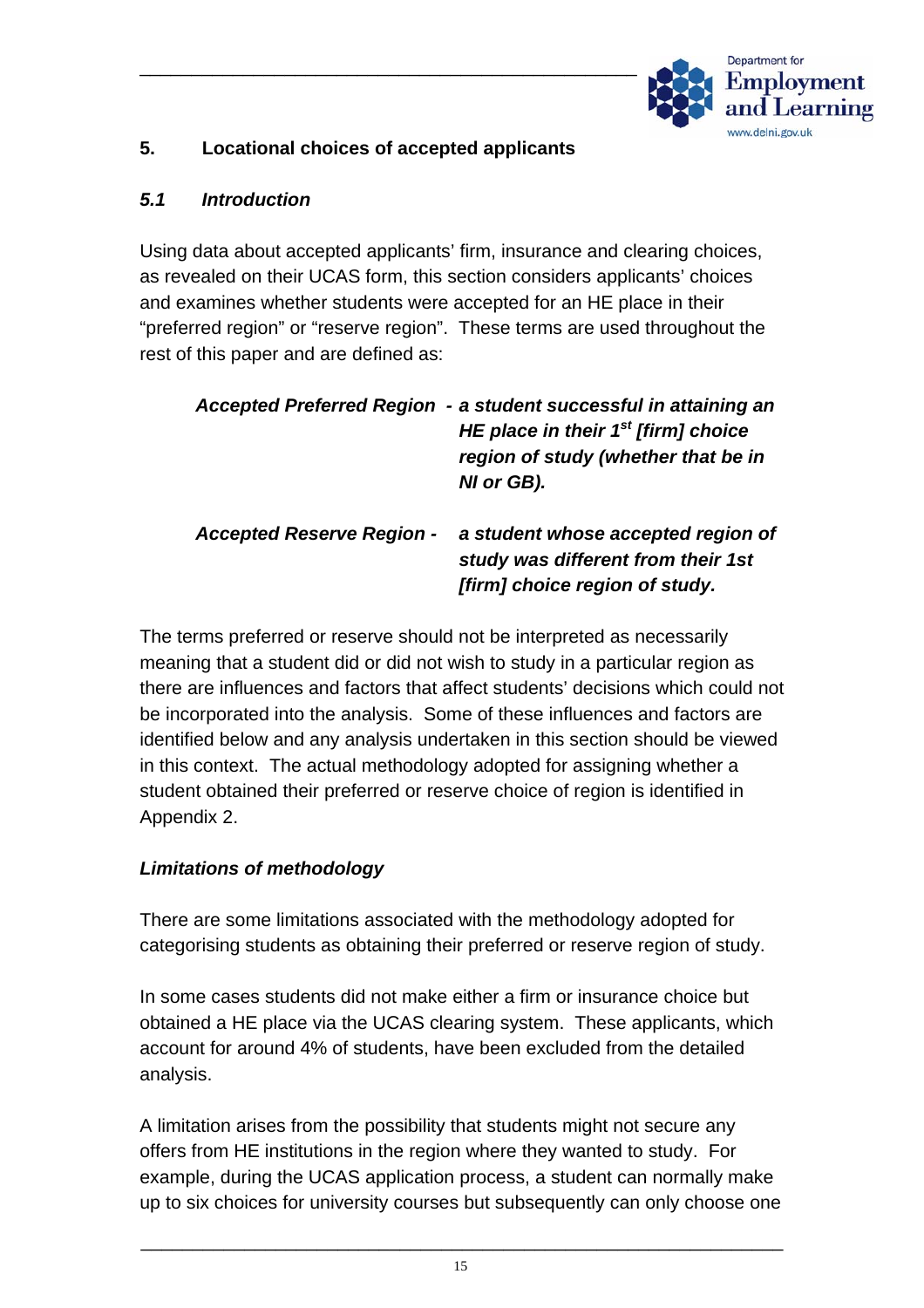

#### **5. Locational choices of accepted applicants**

#### *5.1 Introduction*

Using data about accepted applicants' firm, insurance and clearing choices, as revealed on their UCAS form, this section considers applicants' choices and examines whether students were accepted for an HE place in their "preferred region" or "reserve region". These terms are used throughout the rest of this paper and are defined as:

|                                  | Accepted Preferred Region - a student successful in attaining an<br>HE place in their $1st$ [firm] choice<br>region of study (whether that be in<br>NI or GB). |
|----------------------------------|----------------------------------------------------------------------------------------------------------------------------------------------------------------|
| <b>Accepted Reserve Region -</b> | a student whose accepted region of<br>study was different from their 1st<br>[firm] choice region of study.                                                     |

The terms preferred or reserve should not be interpreted as necessarily meaning that a student did or did not wish to study in a particular region as there are influences and factors that affect students' decisions which could not be incorporated into the analysis. Some of these influences and factors are identified below and any analysis undertaken in this section should be viewed in this context. The actual methodology adopted for assigning whether a student obtained their preferred or reserve choice of region is identified in Appendix 2.

# *Limitations of methodology*

There are some limitations associated with the methodology adopted for categorising students as obtaining their preferred or reserve region of study.

In some cases students did not make either a firm or insurance choice but obtained a HE place via the UCAS clearing system. These applicants, which account for around 4% of students, have been excluded from the detailed analysis.

A limitation arises from the possibility that students might not secure any offers from HE institutions in the region where they wanted to study. For example, during the UCAS application process, a student can normally make up to six choices for university courses but subsequently can only choose one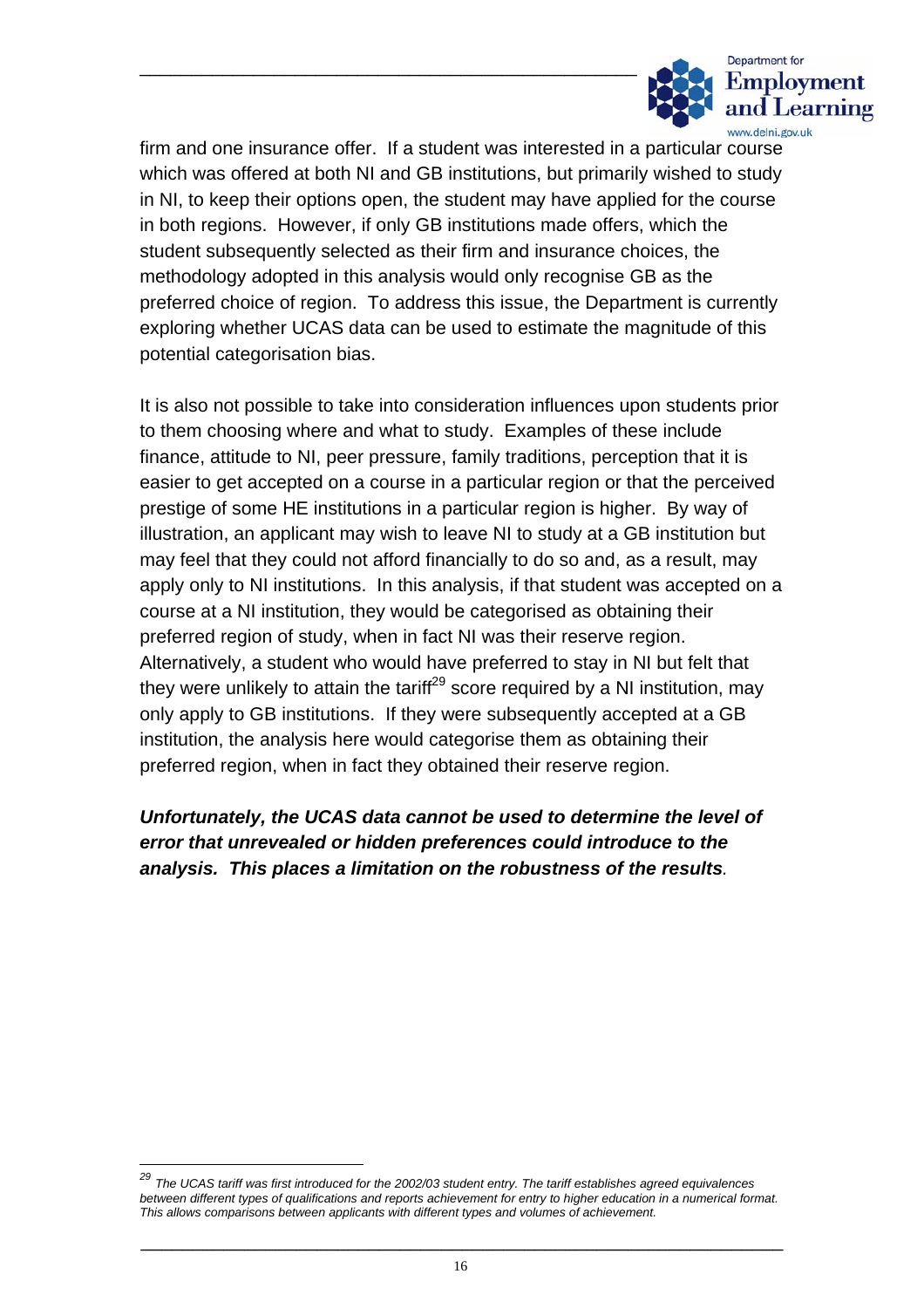

firm and one insurance offer. If a student was interested in a particular course which was offered at both NI and GB institutions, but primarily wished to study in NI, to keep their options open, the student may have applied for the course in both regions. However, if only GB institutions made offers, which the student subsequently selected as their firm and insurance choices, the methodology adopted in this analysis would only recognise GB as the preferred choice of region. To address this issue, the Department is currently exploring whether UCAS data can be used to estimate the magnitude of this potential categorisation bias.

It is also not possible to take into consideration influences upon students prior to them choosing where and what to study. Examples of these include finance, attitude to NI, peer pressure, family traditions, perception that it is easier to get accepted on a course in a particular region or that the perceived prestige of some HE institutions in a particular region is higher. By way of illustration, an applicant may wish to leave NI to study at a GB institution but may feel that they could not afford financially to do so and, as a result, may apply only to NI institutions. In this analysis, if that student was accepted on a course at a NI institution, they would be categorised as obtaining their preferred region of study, when in fact NI was their reserve region. Alternatively, a student who would have preferred to stay in NI but felt that they were unlikely to attain the tariff<sup>29</sup> score required by a NI institution, may only apply to GB institutions. If they were subsequently accepted at a GB institution, the analysis here would categorise them as obtaining their preferred region, when in fact they obtained their reserve region.

#### *Unfortunately, the UCAS data cannot be used to determine the level of error that unrevealed or hidden preferences could introduce to the analysis. This places a limitation on the robustness of the results.*

<span id="page-17-0"></span>*<sup>29</sup> The UCAS tariff was first introduced for the 2002/03 student entry. The tariff establishes agreed equivalences between different types of qualifications and reports achievement for entry to higher education in a numerical format. This allows comparisons between applicants with different types and volumes of achievement.*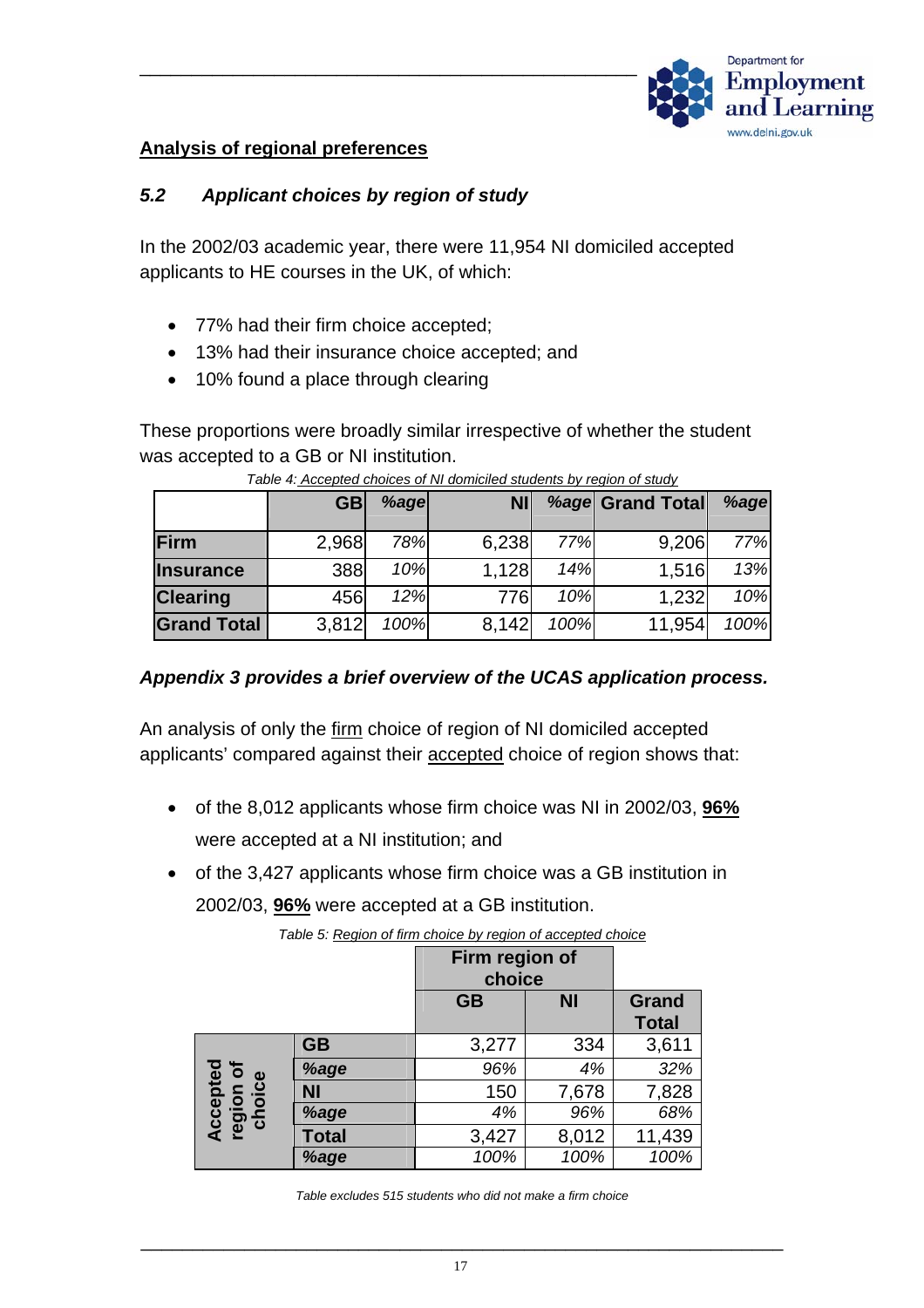

#### **Analysis of regional preferences**

#### *5.2 Applicant choices by region of study*

In the 2002/03 academic year, there were 11,954 NI domiciled accepted applicants to HE courses in the UK, of which:

- 77% had their firm choice accepted;
- 13% had their insurance choice accepted; and
- 10% found a place through clearing

These proportions were broadly similar irrespective of whether the student was accepted to a GB or NI institution.

|                    | <b>GB</b> | %age | <b>NI</b> |      | <b>%age Grand Total</b> | %age |
|--------------------|-----------|------|-----------|------|-------------------------|------|
| Firm               | 2,968     | 78%  | 6,238     | 77%  | 9,206                   | 77%  |
| <b>Insurance</b>   | 388       | 10%  | 1,128     | 14%  | 1,516                   | 13%  |
| <b>Clearing</b>    | 456       | 12%  | 776       | 10%  | 1,232                   | 10%  |
| <b>Grand Total</b> | 3,812     | 100% | 8,142     | 100% | 11,954                  | 100% |

| Table 4: Accepted choices of NI domiciled students by region of study |
|-----------------------------------------------------------------------|
|-----------------------------------------------------------------------|

#### *Appendix 3 provides a brief overview of the UCAS application process.*

An analysis of only the firm choice of region of NI domiciled accepted applicants' compared against their accepted choice of region shows that:

- of the 8,012 applicants whose firm choice was NI in 2002/03, **96%** were accepted at a NI institution; and
- of the 3,427 applicants whose firm choice was a GB institution in 2002/03, **96%** were accepted at a GB institution.

|                                 |              | Firm region of<br>choice |           |                              |
|---------------------------------|--------------|--------------------------|-----------|------------------------------|
|                                 |              | <b>GB</b>                | <b>NI</b> | <b>Grand</b><br><b>Total</b> |
|                                 | <b>GB</b>    | 3,277                    | 334       | 3,611                        |
| Accepted<br>region of<br>choice | %age         | 96%                      | 4%        | 32%                          |
|                                 | <b>NI</b>    | 150                      | 7,678     | 7,828                        |
|                                 | %age         | 4%                       | 96%       | 68%                          |
|                                 | <b>Total</b> | 3,427                    | 8,012     | 11,439                       |
|                                 | %age         | 100%                     | 100%      | 100%                         |

*Table 5: Region of firm choice by region of accepted choice*

*Table excludes 515 students who did not make a firm choice*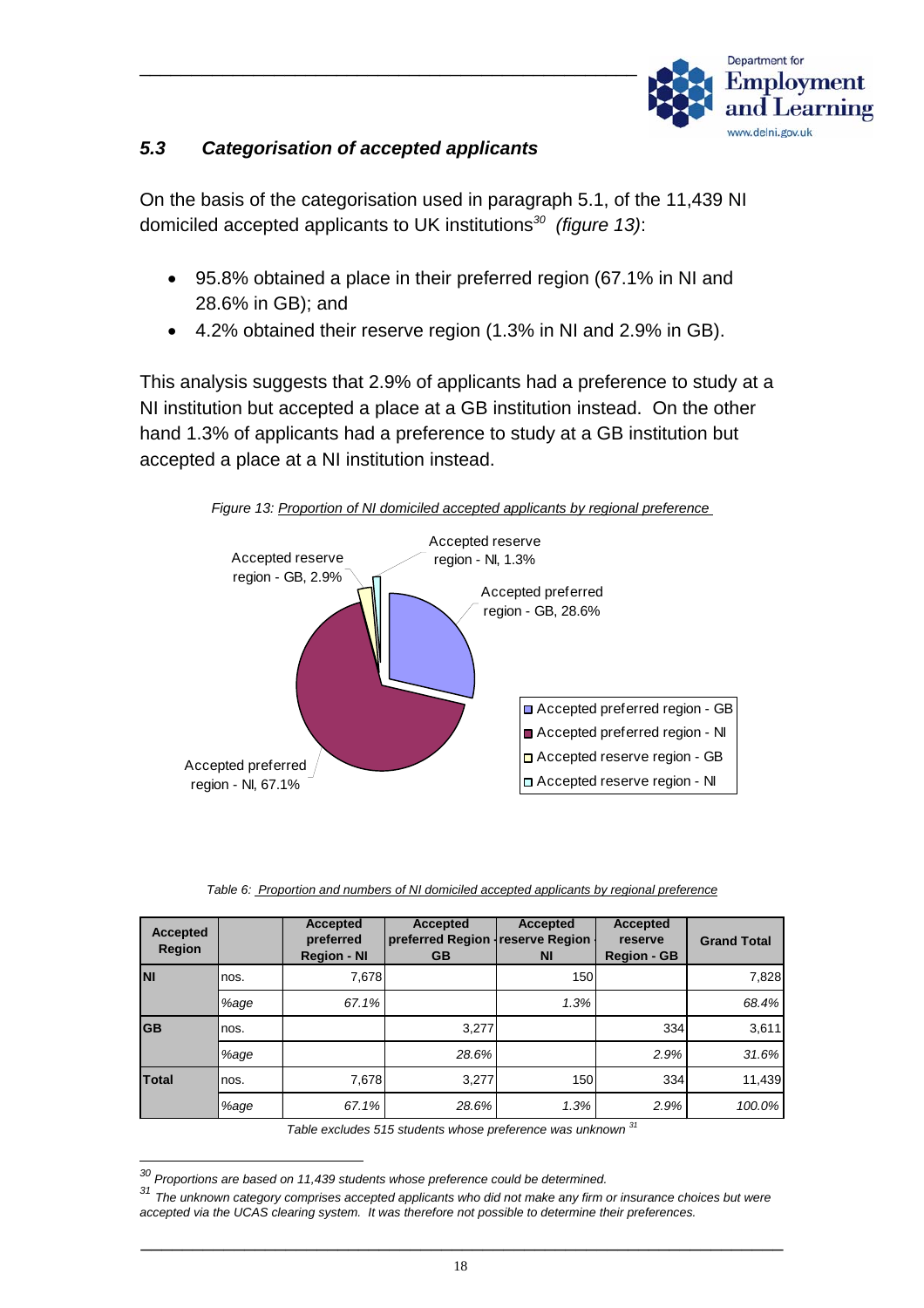

#### *5.3 Categorisation of accepted applicants*

On the basis of the categorisation used in paragraph 5.1, of the 11,439 NI domiciled accepted applicants to UK institutions*[30](#page-19-0) (figure 13)*:

- 95.8% obtained a place in their preferred region (67.1% in NI and 28.6% in GB); and
- 4.2% obtained their reserve region (1.3% in NI and 2.9% in GB).

This analysis suggests that 2.9% of applicants had a preference to study at a NI institution but accepted a place at a GB institution instead. On the other hand 1.3% of applicants had a preference to study at a GB institution but accepted a place at a NI institution instead.



*Figure 13: Proportion of NI domiciled accepted applicants by regional preference* 

|  |  |  |  | Table 6: Proportion and numbers of NI domiciled accepted applicants by regional preference |  |  |  |
|--|--|--|--|--------------------------------------------------------------------------------------------|--|--|--|
|--|--|--|--|--------------------------------------------------------------------------------------------|--|--|--|

| <b>Accepted</b><br><b>Region</b> |      | <b>Accepted</b><br>preferred<br><b>Region - NI</b> | <b>Accepted</b><br>preferred Region   reserve Region  <br><b>GB</b> | Accepted<br><b>NI</b> | Accepted<br>reserve<br><b>Region - GB</b> | <b>Grand Total</b> |
|----------------------------------|------|----------------------------------------------------|---------------------------------------------------------------------|-----------------------|-------------------------------------------|--------------------|
| <b>NI</b>                        | nos. | 7,678                                              |                                                                     | 150                   |                                           | 7,828              |
|                                  | %age | 67.1%                                              |                                                                     | 1.3%                  |                                           | 68.4%              |
| <b>GB</b>                        | nos. |                                                    | 3.277                                                               |                       | 334                                       | 3,611              |
|                                  | %age |                                                    | 28.6%                                                               |                       | 2.9%                                      | 31.6%              |
| Total                            | nos. | 7,678                                              | 3.277                                                               | 150                   | 334                                       | 11,439             |
|                                  | %age | 67.1%                                              | 28.6%                                                               | 1.3%                  | 2.9%                                      | 100.0%             |

*Table excludes 515 students whose preference was unknown [31](#page-19-1)*

<span id="page-19-0"></span>*30 Proportions are based on 11,439 students whose preference could be determined.*

<span id="page-19-1"></span>*<sup>31</sup> The unknown category comprises accepted applicants who did not make any firm or insurance choices but were accepted via the UCAS clearing system. It was therefore not possible to determine their preferences.*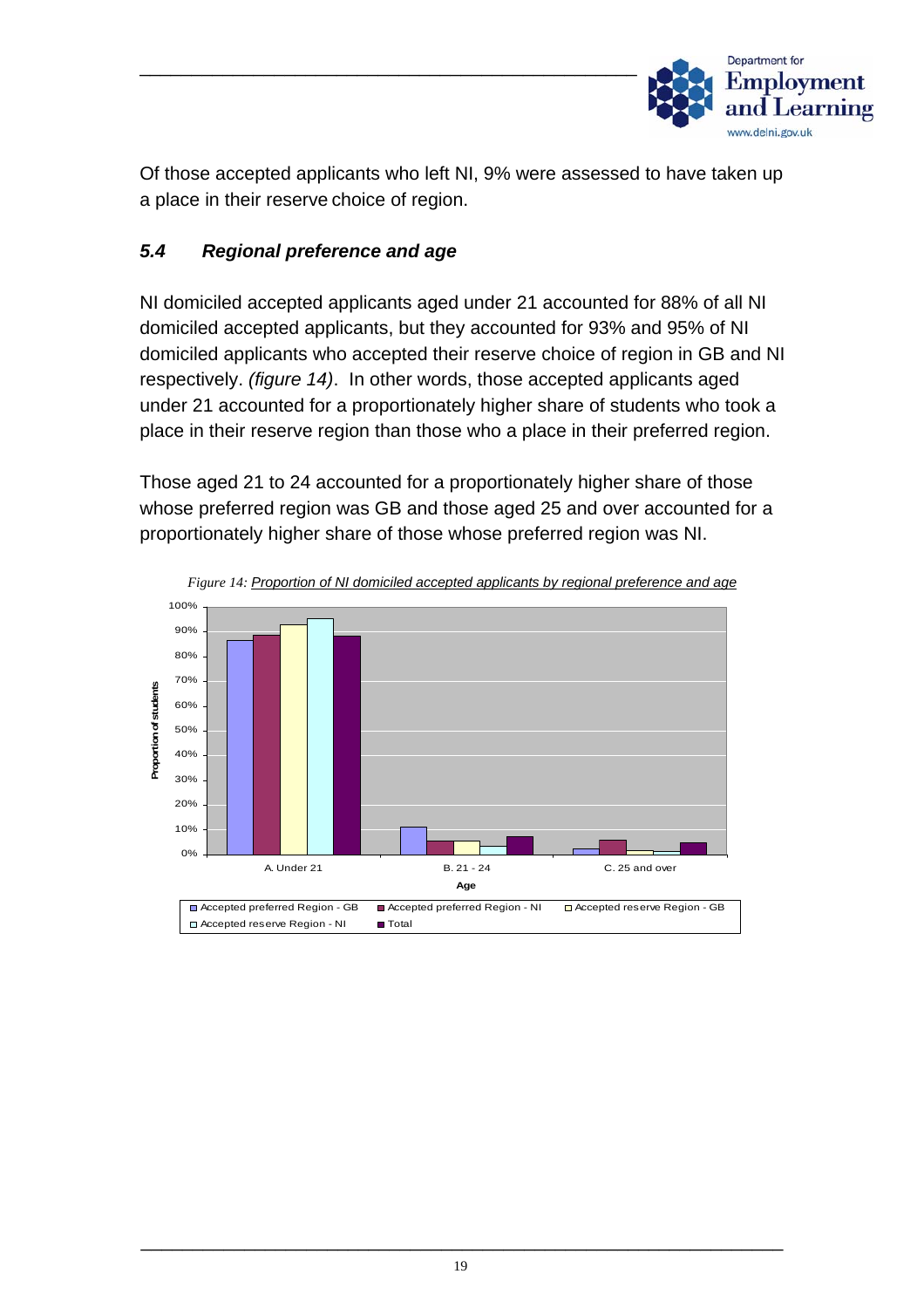

Of those accepted applicants who left NI, 9% were assessed to have taken up a place in their reserve choice of region.

#### *5.4 Regional preference and age*

NI domiciled accepted applicants aged under 21 accounted for 88% of all NI domiciled accepted applicants, but they accounted for 93% and 95% of NI domiciled applicants who accepted their reserve choice of region in GB and NI respectively. *(figure 14)*. In other words, those accepted applicants aged under 21 accounted for a proportionately higher share of students who took a place in their reserve region than those who a place in their preferred region.

Those aged 21 to 24 accounted for a proportionately higher share of those whose preferred region was GB and those aged 25 and over accounted for a proportionately higher share of those whose preferred region was NI.



*Figure 14: Proportion of NI domiciled accepted applicants by regional preference and age*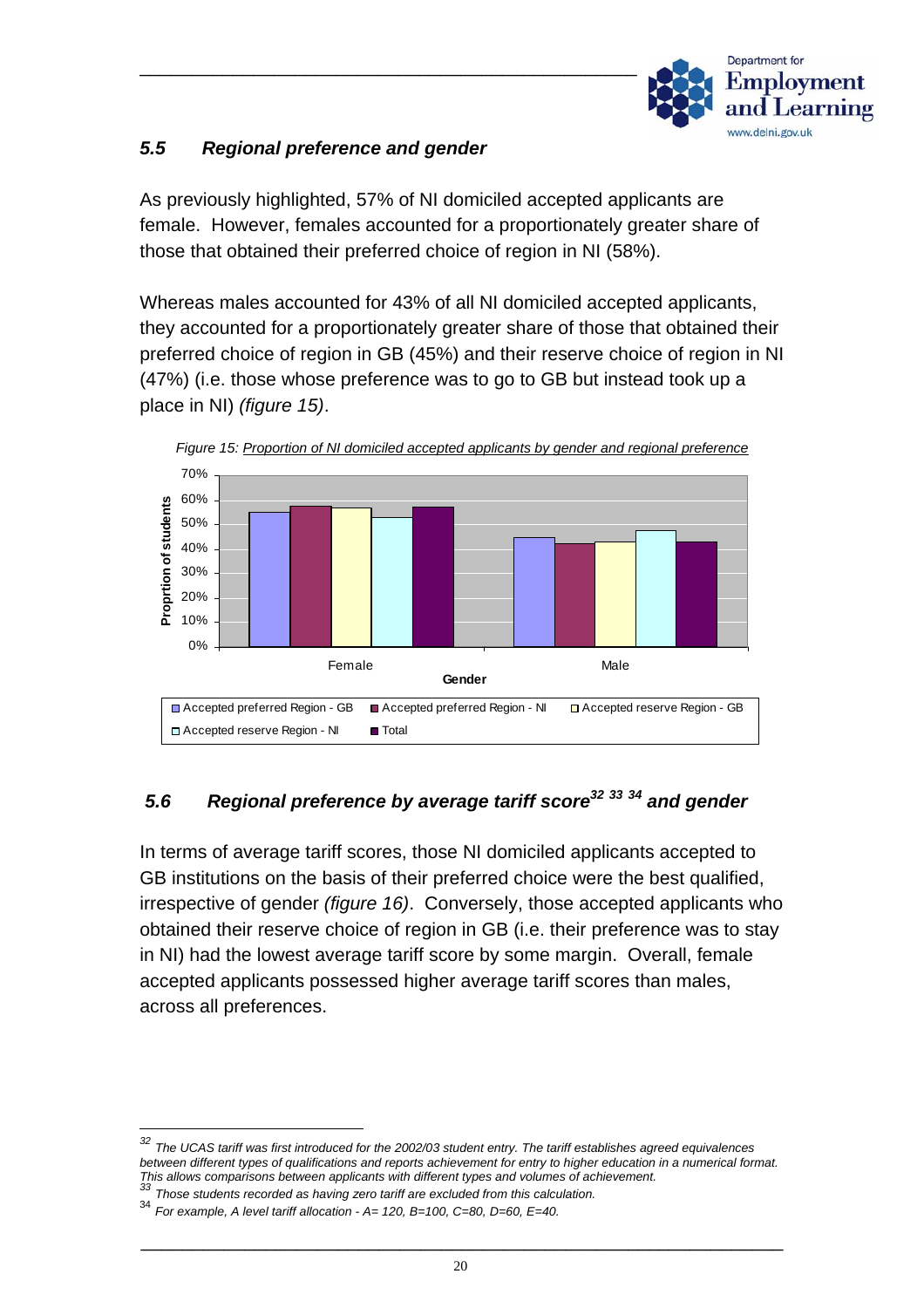

# *5.5 Regional preference and gender*

As previously highlighted, 57% of NI domiciled accepted applicants are female. However, females accounted for a proportionately greater share of those that obtained their preferred choice of region in NI (58%).

Whereas males accounted for 43% of all NI domiciled accepted applicants, they accounted for a proportionately greater share of those that obtained their preferred choice of region in GB (45%) and their reserve choice of region in NI (47%) (i.e. those whose preference was to go to GB but instead took up a place in NI) *(figure 15)*.



# *5.6 Regional preference by average tariff scor[e32](#page-21-0) [33](#page-21-1) [34](#page-21-2) and gender*

In terms of average tariff scores, those NI domiciled applicants accepted to GB institutions on the basis of their preferred choice were the best qualified, irrespective of gender *(figure 16)*. Conversely, those accepted applicants who obtained their reserve choice of region in GB (i.e. their preference was to stay in NI) had the lowest average tariff score by some margin. Overall, female accepted applicants possessed higher average tariff scores than males, across all preferences.

<span id="page-21-0"></span>*<sup>32</sup> The UCAS tariff was first introduced for the 2002/03 student entry. The tariff establishes agreed equivalences between different types of qualifications and reports achievement for entry to higher education in a numerical format. This allows comparisons between applicants with different types and volumes of achievement. <sup>33</sup> Those students recorded as having zero tariff are excluded from this calculation.* 

<span id="page-21-1"></span>

<span id="page-21-2"></span><sup>34</sup> *For example, A level tariff allocation - A= 120, B=100, C=80, D=60, E=40.*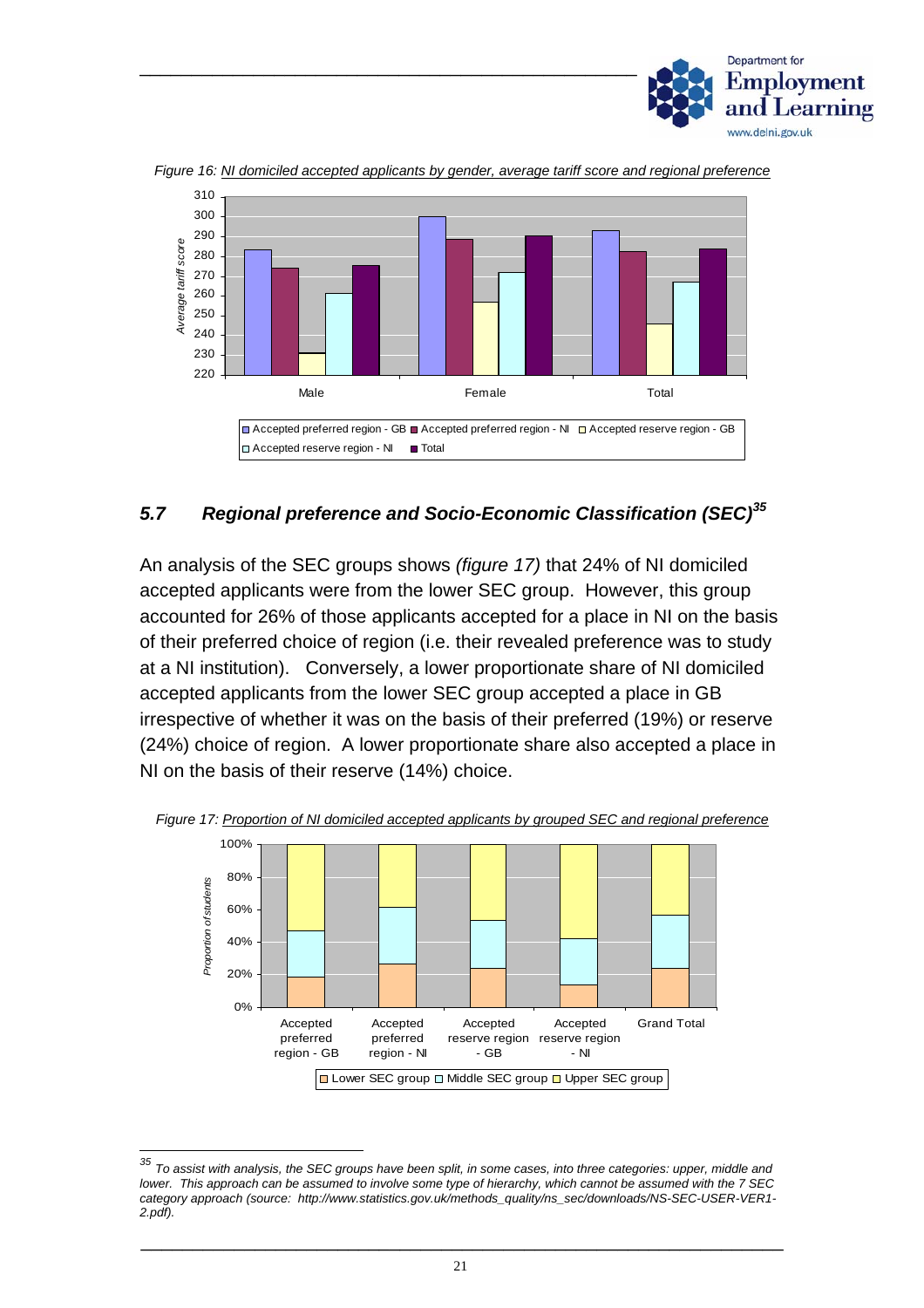



*Figure 16: NI domiciled accepted applicants by gender, average tariff score and regional preference*

#### *5.7 Regional preference and Socio-Economic Classification (SEC)[35](#page-22-0)*

An analysis of the SEC groups shows *(figure 17)* that 24% of NI domiciled accepted applicants were from the lower SEC group. However, this group accounted for 26% of those applicants accepted for a place in NI on the basis of their preferred choice of region (i.e. their revealed preference was to study at a NI institution). Conversely, a lower proportionate share of NI domiciled accepted applicants from the lower SEC group accepted a place in GB irrespective of whether it was on the basis of their preferred (19%) or reserve (24%) choice of region. A lower proportionate share also accepted a place in NI on the basis of their reserve (14%) choice.



*Figure 17: Proportion of NI domiciled accepted applicants by grouped SEC and regional preference*

<span id="page-22-0"></span>*<sup>35</sup> To assist with analysis, the SEC groups have been split, in some cases, into three categories: upper, middle and lower. This approach can be assumed to involve some type of hierarchy, which cannot be assumed with the 7 SEC category approach (source: http://www.statistics.gov.uk/methods\_quality/ns\_sec/downloads/NS-SEC-USER-VER1- 2.pdf).*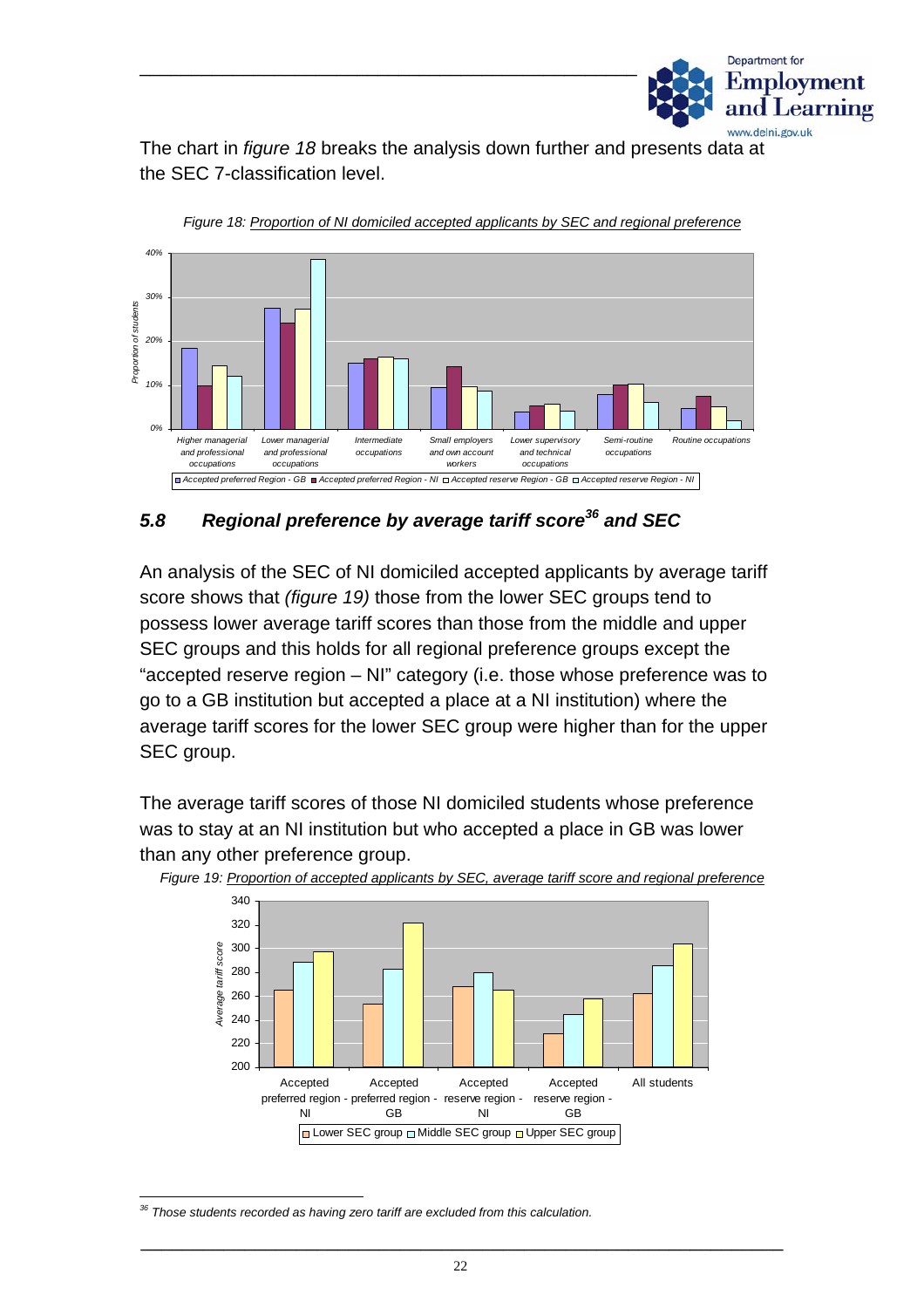

The chart in *figure 18* breaks the analysis down further and presents data at the SEC 7-classification level.

\_\_\_\_\_\_\_\_\_\_\_\_\_\_\_\_\_\_\_\_\_\_\_\_\_\_\_\_\_\_\_\_\_\_\_\_\_\_\_\_\_\_\_\_\_\_\_\_



*Figure 18: Proportion of NI domiciled accepted applicants by SEC and regional preference*

#### *5.8 Regional preference by average tariff score[36](#page-23-0) and SEC*

An analysis of the SEC of NI domiciled accepted applicants by average tariff score shows that *(figure 19)* those from the lower SEC groups tend to possess lower average tariff scores than those from the middle and upper SEC groups and this holds for all regional preference groups except the "accepted reserve region – NI" category (i.e. those whose preference was to go to a GB institution but accepted a place at a NI institution) where the average tariff scores for the lower SEC group were higher than for the upper SEC group.

The average tariff scores of those NI domiciled students whose preference was to stay at an NI institution but who accepted a place in GB was lower than any other preference group.



*Figure 19: Proportion of accepted applicants by SEC, average tariff score and regional preference* 

<span id="page-23-0"></span>*36 Those students recorded as having zero tariff are excluded from this calculation.*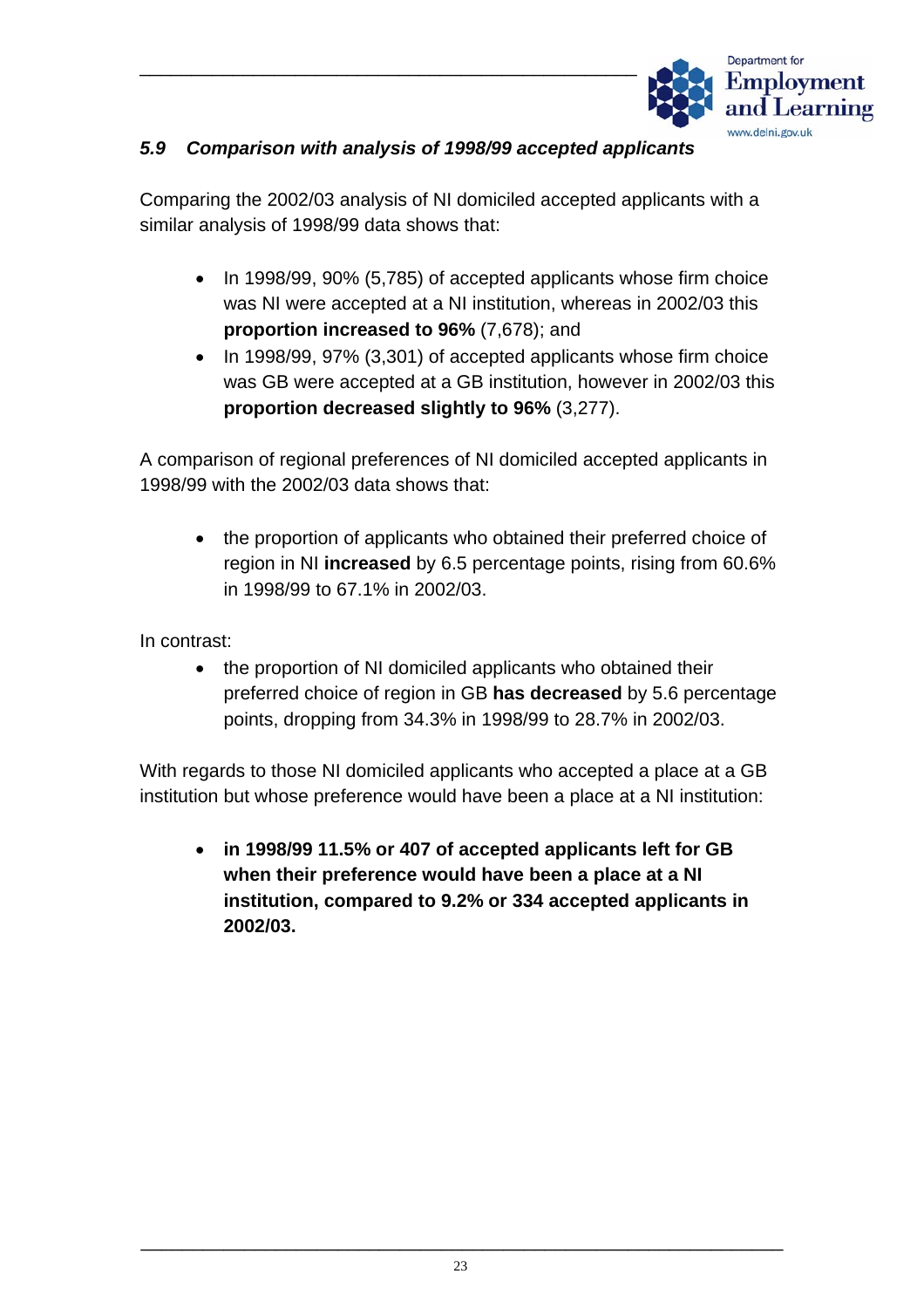

#### *5.9 Comparison with analysis of 1998/99 accepted applicants*

\_\_\_\_\_\_\_\_\_\_\_\_\_\_\_\_\_\_\_\_\_\_\_\_\_\_\_\_\_\_\_\_\_\_\_\_\_\_\_\_\_\_\_\_\_\_\_\_

Comparing the 2002/03 analysis of NI domiciled accepted applicants with a similar analysis of 1998/99 data shows that:

- In 1998/99, 90% (5,785) of accepted applicants whose firm choice was NI were accepted at a NI institution, whereas in 2002/03 this **proportion increased to 96%** (7,678); and
- In 1998/99, 97% (3,301) of accepted applicants whose firm choice was GB were accepted at a GB institution, however in 2002/03 this **proportion decreased slightly to 96%** (3,277).

A comparison of regional preferences of NI domiciled accepted applicants in 1998/99 with the 2002/03 data shows that:

• the proportion of applicants who obtained their preferred choice of region in NI **increased** by 6.5 percentage points, rising from 60.6% in 1998/99 to 67.1% in 2002/03.

In contrast:

• the proportion of NI domiciled applicants who obtained their preferred choice of region in GB **has decreased** by 5.6 percentage points, dropping from 34.3% in 1998/99 to 28.7% in 2002/03.

With regards to those NI domiciled applicants who accepted a place at a GB institution but whose preference would have been a place at a NI institution:

• **in 1998/99 11.5% or 407 of accepted applicants left for GB when their preference would have been a place at a NI institution, compared to 9.2% or 334 accepted applicants in 2002/03.**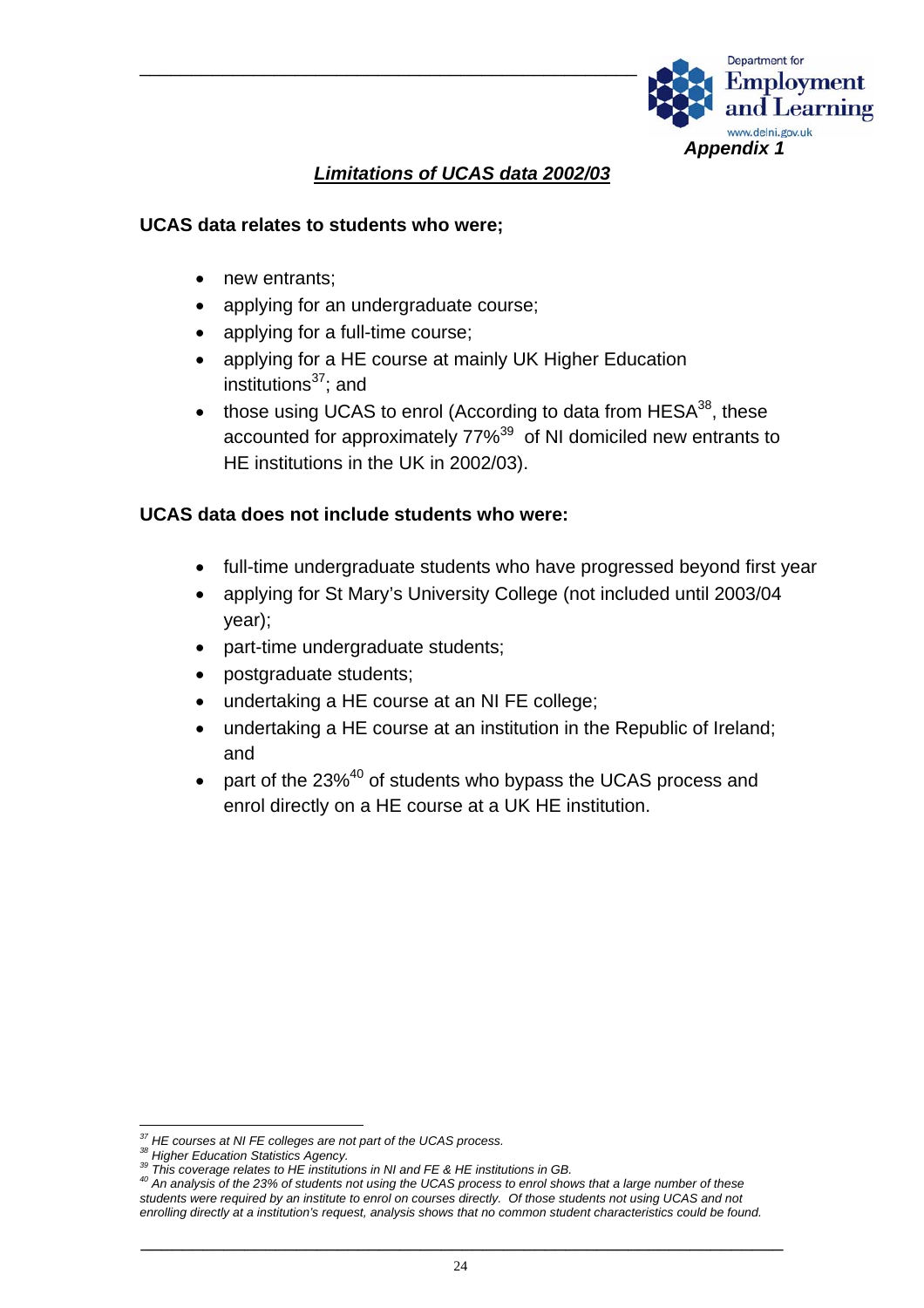

#### *Limitations of UCAS data 2002/03*

#### **UCAS data relates to students who were;**

- new entrants;
- applying for an undergraduate course;
- applying for a full-time course;
- applying for a HE course at mainly UK Higher Education institutions $37$ ; and
- those using UCAS to enrol (According to data from  $HESA^{38}$ , these accounted for approximately 77%<sup>39</sup> of NI domiciled new entrants to HE institutions in the UK in 2002/03).

#### **UCAS data does not include students who were:**

- full-time undergraduate students who have progressed beyond first year
- applying for St Mary's University College (not included until 2003/04 year);
- part-time undergraduate students;
- postgraduate students;
- undertaking a HE course at an NI FE college;
- undertaking a HE course at an institution in the Republic of Ireland; and
- part of the 23%<sup>40</sup> of students who bypass the UCAS process and enrol directly on a HE course at a UK HE institution.

<span id="page-25-0"></span>

<span id="page-25-1"></span>

<span id="page-25-3"></span><span id="page-25-2"></span>

<sup>&</sup>lt;sup>37</sup> HE courses at NI FE colleges are not part of the UCAS process.<br><sup>38</sup> Higher Education Statistics Agency.<br><sup>39</sup> This coverage relates to HE institutions in NI and FE & HE institutions in GB.<br><sup>40</sup> An analysis of the 23% o *students were required by an institute to enrol on courses directly. Of those students not using UCAS and not enrolling directly at a institution's request, analysis shows that no common student characteristics could be found.*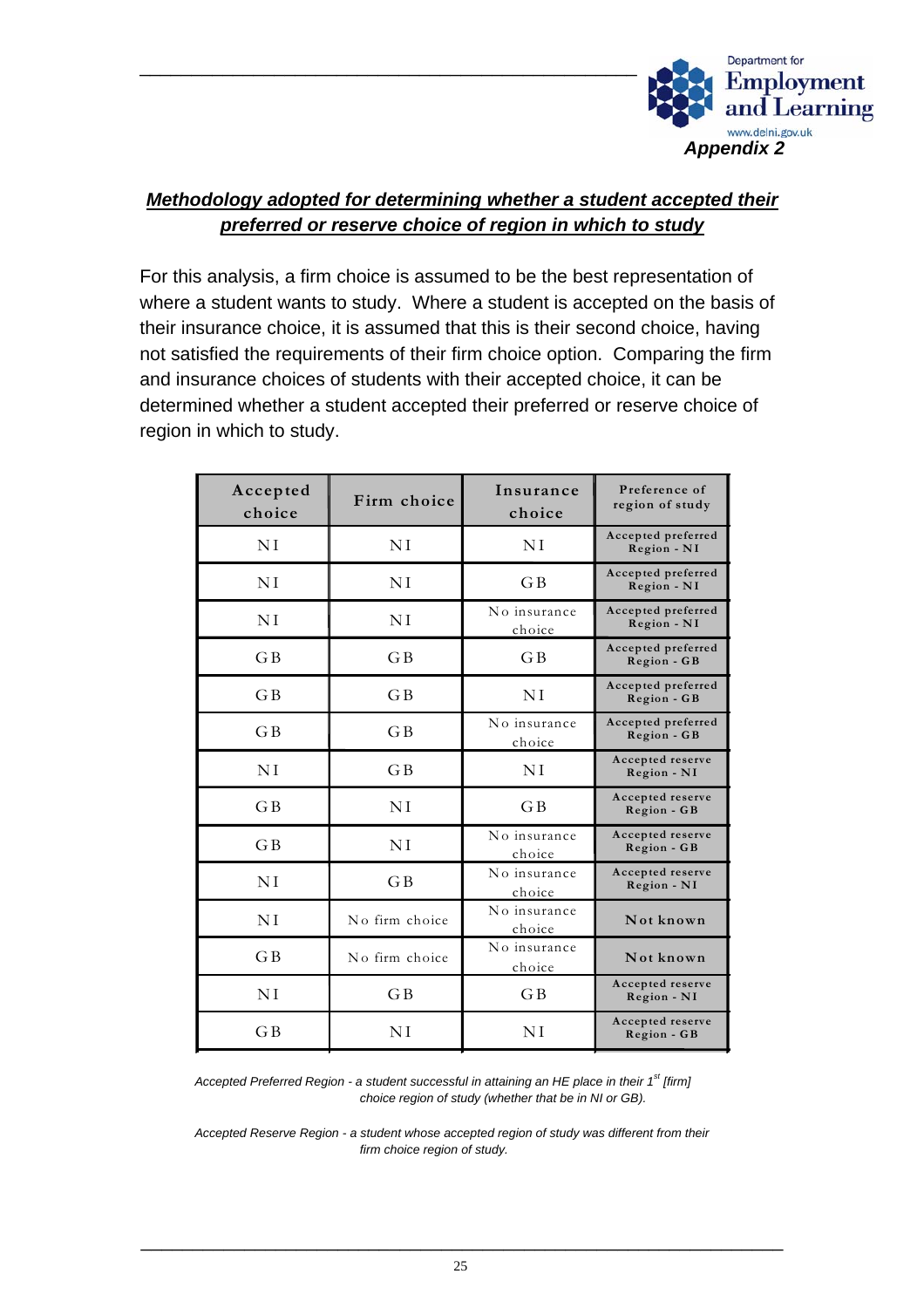

### *Methodology adopted for determining whether a student accepted their preferred or reserve choice of region in which to study*

For this analysis, a firm choice is assumed to be the best representation of where a student wants to study. Where a student is accepted on the basis of their insurance choice, it is assumed that this is their second choice, having not satisfied the requirements of their firm choice option. Comparing the firm and insurance choices of students with their accepted choice, it can be determined whether a student accepted their preferred or reserve choice of region in which to study.

| Accepted<br>choice | Firm choice    | Insurance<br>choice    | Preference of<br>region of study  |
|--------------------|----------------|------------------------|-----------------------------------|
| ΝI                 | ΝI             | ΝI                     | Accepted preferred<br>Region - NI |
| ΝI                 | NI             | G B                    | Accepted preferred<br>Region - NI |
| ΝI                 | ΝI             | No insurance<br>choice | Accepted preferred<br>Region - NI |
| G B                | G <sub>B</sub> | GB                     | Accepted preferred<br>Region - GB |
| G B                | G B            | ΝI                     | Accepted preferred<br>Region - GB |
| $G$ $B$            | G <sub>B</sub> | No insurance<br>choice | Accepted preferred<br>Region - GB |
| ΝI                 | G <sub>B</sub> | NI                     | Accepted reserve<br>Region - NI   |
| G B                | NI             | GB                     | Accepted reserve<br>Region - GB   |
| $G$ $B$            | NI             | No insurance<br>choice | Accepted reserve<br>Region - GB   |
| ΝI                 | G B            | No insurance<br>choice | Accepted reserve<br>Region - NI   |
| NI                 | No firm choice | No insurance<br>choice | Not known                         |
| G B                | No firm choice | No insurance<br>choice | Not known                         |
| ΝI                 | G <sub>B</sub> | GB                     | Accepted reserve<br>Region - NI   |
| G B                | ΝI             | ΝI                     | Accepted reserve<br>Region - GB   |

*Accepted Preferred Region - a student successful in attaining an HE place in their 1st [firm] choice region of study (whether that be in NI or GB).* 

*Accepted Reserve Region - a student whose accepted region of study was different from their firm choice region of study.*